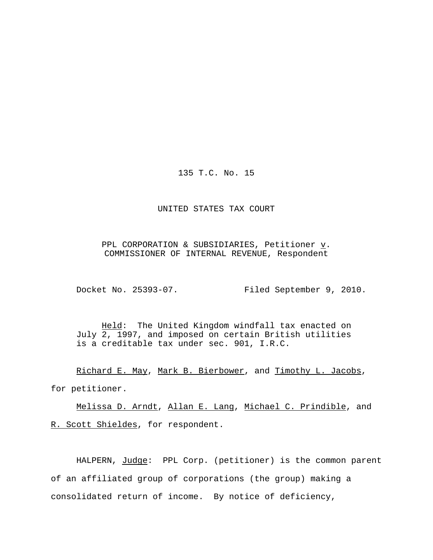135 T.C. No. 15

#### UNITED STATES TAX COURT

PPL CORPORATION & SUBSIDIARIES, Petitioner  $\underline{v}$ . COMMISSIONER OF INTERNAL REVENUE, Respondent

Docket No. 25393-07. Filed September 9, 2010.

Held: The United Kingdom windfall tax enacted on July 2, 1997, and imposed on certain British utilities is a creditable tax under sec. 901, I.R.C.

Richard E. May, Mark B. Bierbower, and Timothy L. Jacobs, for petitioner.

Melissa D. Arndt, Allan E. Lang, Michael C. Prindible, and R. Scott Shieldes, for respondent.

HALPERN, Judge: PPL Corp. (petitioner) is the common parent of an affiliated group of corporations (the group) making a consolidated return of income. By notice of deficiency,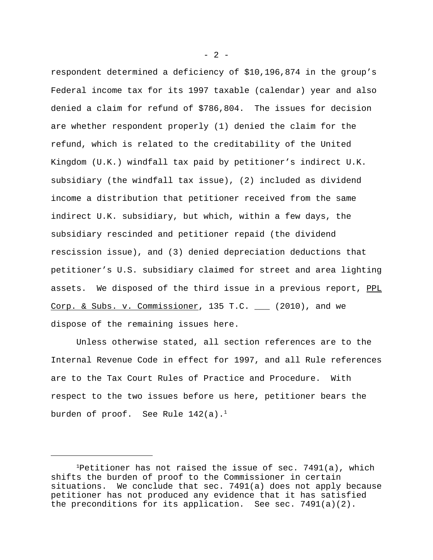respondent determined a deficiency of \$10,196,874 in the group's Federal income tax for its 1997 taxable (calendar) year and also denied a claim for refund of \$786,804. The issues for decision are whether respondent properly (1) denied the claim for the refund, which is related to the creditability of the United Kingdom (U.K.) windfall tax paid by petitioner's indirect U.K. subsidiary (the windfall tax issue), (2) included as dividend income a distribution that petitioner received from the same indirect U.K. subsidiary, but which, within a few days, the subsidiary rescinded and petitioner repaid (the dividend rescission issue), and (3) denied depreciation deductions that petitioner's U.S. subsidiary claimed for street and area lighting assets. We disposed of the third issue in a previous report, PPL Corp. & Subs. v. Commissioner, 135 T.C.  $\_\_\_\_$  (2010), and we dispose of the remaining issues here.

Unless otherwise stated, all section references are to the Internal Revenue Code in effect for 1997, and all Rule references are to the Tax Court Rules of Practice and Procedure. With respect to the two issues before us here, petitioner bears the burden of proof. See Rule  $142(a)$ .<sup>1</sup>

 $- 2 -$ 

<sup>&</sup>lt;sup>1</sup>Petitioner has not raised the issue of sec.  $7491(a)$ , which shifts the burden of proof to the Commissioner in certain situations. We conclude that sec. 7491(a) does not apply because petitioner has not produced any evidence that it has satisfied the preconditions for its application. See sec. 7491(a)(2).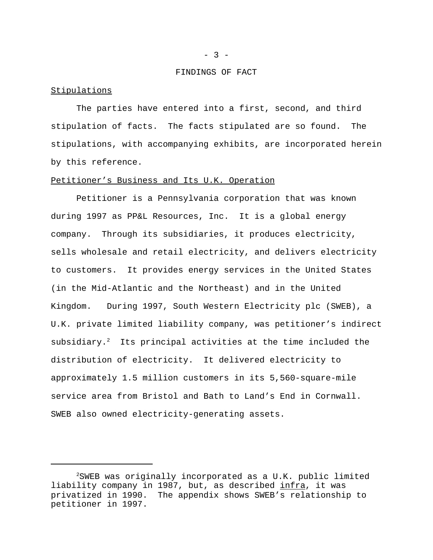#### FINDINGS OF FACT

#### Stipulations

The parties have entered into a first, second, and third stipulation of facts. The facts stipulated are so found. The stipulations, with accompanying exhibits, are incorporated herein by this reference.

## Petitioner's Business and Its U.K. Operation

Petitioner is a Pennsylvania corporation that was known during 1997 as PP&L Resources, Inc. It is a global energy company. Through its subsidiaries, it produces electricity, sells wholesale and retail electricity, and delivers electricity to customers. It provides energy services in the United States (in the Mid-Atlantic and the Northeast) and in the United Kingdom. During 1997, South Western Electricity plc (SWEB), a U.K. private limited liability company, was petitioner's indirect subsidiary.<sup>2</sup> Its principal activities at the time included the distribution of electricity. It delivered electricity to approximately 1.5 million customers in its 5,560-square-mile service area from Bristol and Bath to Land's End in Cornwall. SWEB also owned electricity-generating assets.

<sup>2</sup>SWEB was originally incorporated as a U.K. public limited liability company in 1987, but, as described infra, it was privatized in 1990. The appendix shows SWEB's relationship to petitioner in 1997.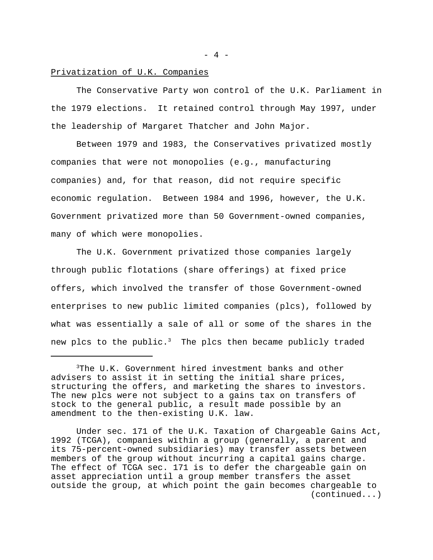#### Privatization of U.K. Companies

The Conservative Party won control of the U.K. Parliament in the 1979 elections. It retained control through May 1997, under the leadership of Margaret Thatcher and John Major.

Between 1979 and 1983, the Conservatives privatized mostly companies that were not monopolies (e.g., manufacturing companies) and, for that reason, did not require specific economic regulation. Between 1984 and 1996, however, the U.K. Government privatized more than 50 Government-owned companies, many of which were monopolies.

The U.K. Government privatized those companies largely through public flotations (share offerings) at fixed price offers, which involved the transfer of those Government-owned enterprises to new public limited companies (plcs), followed by what was essentially a sale of all or some of the shares in the new plcs to the public.<sup>3</sup> The plcs then became publicly traded

 $- 4 -$ 

<sup>3</sup>The U.K. Government hired investment banks and other advisers to assist it in setting the initial share prices, structuring the offers, and marketing the shares to investors. The new plcs were not subject to a gains tax on transfers of stock to the general public, a result made possible by an amendment to the then-existing U.K. law.

Under sec. 171 of the U.K. Taxation of Chargeable Gains Act, 1992 (TCGA), companies within a group (generally, a parent and its 75-percent-owned subsidiaries) may transfer assets between members of the group without incurring a capital gains charge. The effect of TCGA sec. 171 is to defer the chargeable gain on asset appreciation until a group member transfers the asset outside the group, at which point the gain becomes chargeable to (continued...)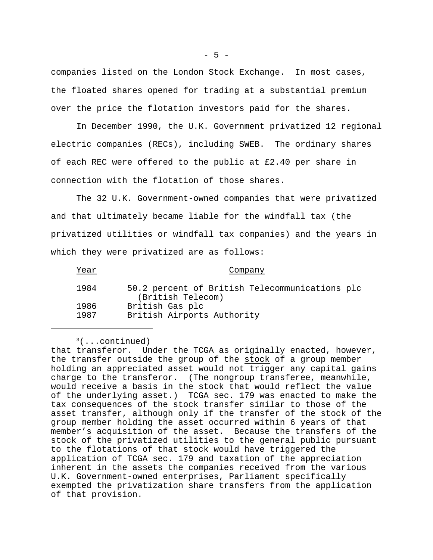companies listed on the London Stock Exchange. In most cases, the floated shares opened for trading at a substantial premium over the price the flotation investors paid for the shares.

In December 1990, the U.K. Government privatized 12 regional electric companies (RECs), including SWEB. The ordinary shares of each REC were offered to the public at £2.40 per share in connection with the flotation of those shares.

The 32 U.K. Government-owned companies that were privatized and that ultimately became liable for the windfall tax (the privatized utilities or windfall tax companies) and the years in which they were privatized are as follows:

| Year | Company                                                             |
|------|---------------------------------------------------------------------|
| 1984 | 50.2 percent of British Telecommunications plc<br>(British Telecom) |
| 1986 | British Gas plc                                                     |
| 1987 | British Airports Authority                                          |

 $3($ ...continued) that transferor. Under the TCGA as originally enacted, however, the transfer outside the group of the stock of a group member holding an appreciated asset would not trigger any capital gains charge to the transferor. (The nongroup transferee, meanwhile, would receive a basis in the stock that would reflect the value of the underlying asset.) TCGA sec. 179 was enacted to make the tax consequences of the stock transfer similar to those of the asset transfer, although only if the transfer of the stock of the group member holding the asset occurred within 6 years of that member's acquisition of the asset. Because the transfers of the stock of the privatized utilities to the general public pursuant to the flotations of that stock would have triggered the application of TCGA sec. 179 and taxation of the appreciation inherent in the assets the companies received from the various U.K. Government-owned enterprises, Parliament specifically exempted the privatization share transfers from the application of that provision.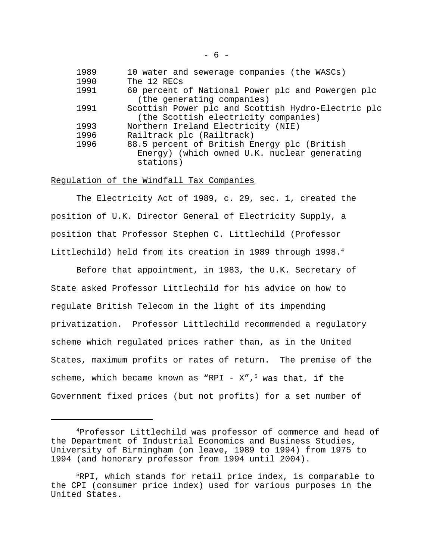| 1989 | 10 water and sewerage companies (the WASCs)        |
|------|----------------------------------------------------|
| 1990 | The 12 RECs                                        |
| 1991 | 60 percent of National Power plc and Powergen plc  |
|      | (the generating companies)                         |
| 1991 | Scottish Power plc and Scottish Hydro-Electric plc |
|      | (the Scottish electricity companies)               |
| 1993 | Northern Ireland Electricity (NIE)                 |
| 1996 | Railtrack plc (Railtrack)                          |
| 1996 | 88.5 percent of British Energy plc (British        |
|      | Energy) (which owned U.K. nuclear generating       |
|      | stations)                                          |

#### Regulation of the Windfall Tax Companies

The Electricity Act of 1989, c. 29, sec. 1, created the position of U.K. Director General of Electricity Supply, a position that Professor Stephen C. Littlechild (Professor Littlechild) held from its creation in 1989 through 1998.<sup>4</sup>

Before that appointment, in 1983, the U.K. Secretary of State asked Professor Littlechild for his advice on how to regulate British Telecom in the light of its impending privatization. Professor Littlechild recommended a regulatory scheme which regulated prices rather than, as in the United States, maximum profits or rates of return. The premise of the scheme, which became known as "RPI -  $X''$ ,<sup>5</sup> was that, if the Government fixed prices (but not profits) for a set number of

<sup>4</sup>Professor Littlechild was professor of commerce and head of the Department of Industrial Economics and Business Studies, University of Birmingham (on leave, 1989 to 1994) from 1975 to 1994 (and honorary professor from 1994 until 2004).

<sup>5</sup>RPI, which stands for retail price index, is comparable to the CPI (consumer price index) used for various purposes in the United States.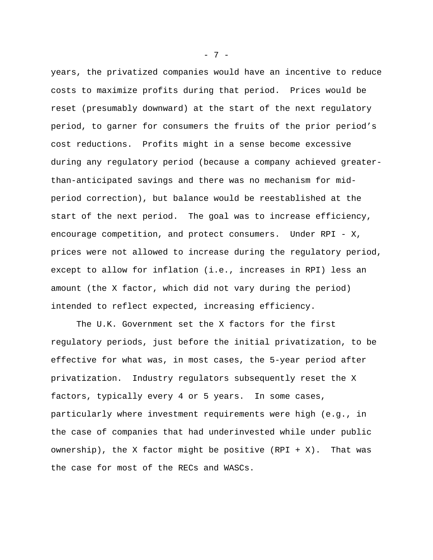years, the privatized companies would have an incentive to reduce costs to maximize profits during that period. Prices would be reset (presumably downward) at the start of the next regulatory period, to garner for consumers the fruits of the prior period's cost reductions. Profits might in a sense become excessive during any regulatory period (because a company achieved greaterthan-anticipated savings and there was no mechanism for midperiod correction), but balance would be reestablished at the start of the next period. The goal was to increase efficiency, encourage competition, and protect consumers. Under RPI - X, prices were not allowed to increase during the regulatory period, except to allow for inflation (i.e., increases in RPI) less an amount (the X factor, which did not vary during the period) intended to reflect expected, increasing efficiency.

The U.K. Government set the X factors for the first regulatory periods, just before the initial privatization, to be effective for what was, in most cases, the 5-year period after privatization. Industry regulators subsequently reset the X factors, typically every 4 or 5 years. In some cases, particularly where investment requirements were high (e.g., in the case of companies that had underinvested while under public ownership), the X factor might be positive  $(RPI + X)$ . That was the case for most of the RECs and WASCs.

- 7 -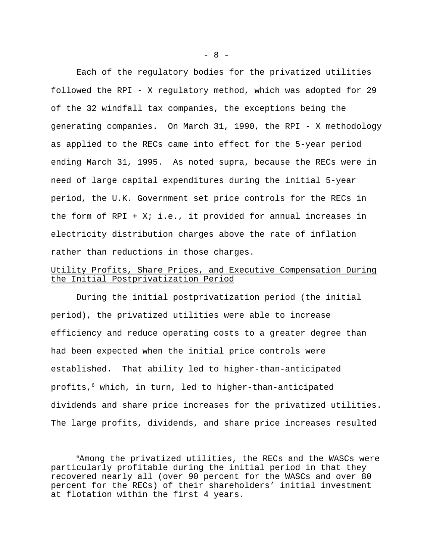Each of the regulatory bodies for the privatized utilities followed the RPI - X regulatory method, which was adopted for 29 of the 32 windfall tax companies, the exceptions being the generating companies. On March 31, 1990, the RPI - X methodology as applied to the RECs came into effect for the 5-year period ending March 31, 1995. As noted supra, because the RECs were in need of large capital expenditures during the initial 5-year period, the U.K. Government set price controls for the RECs in the form of RPI +  $Xi$ ; i.e., it provided for annual increases in electricity distribution charges above the rate of inflation rather than reductions in those charges.

# Utility Profits, Share Prices, and Executive Compensation During the Initial Postprivatization Period

During the initial postprivatization period (the initial period), the privatized utilities were able to increase efficiency and reduce operating costs to a greater degree than had been expected when the initial price controls were established. That ability led to higher-than-anticipated profits,<sup>6</sup> which, in turn, led to higher-than-anticipated dividends and share price increases for the privatized utilities. The large profits, dividends, and share price increases resulted

 $- 8 -$ 

<sup>6</sup>Among the privatized utilities, the RECs and the WASCs were particularly profitable during the initial period in that they recovered nearly all (over 90 percent for the WASCs and over 80 percent for the RECs) of their shareholders' initial investment at flotation within the first 4 years.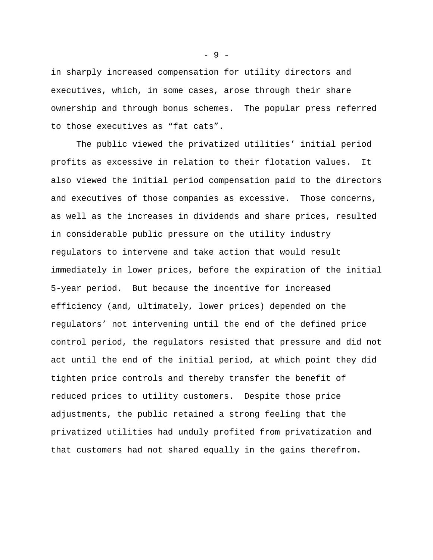in sharply increased compensation for utility directors and executives, which, in some cases, arose through their share ownership and through bonus schemes. The popular press referred to those executives as "fat cats".

The public viewed the privatized utilities' initial period profits as excessive in relation to their flotation values. It also viewed the initial period compensation paid to the directors and executives of those companies as excessive. Those concerns, as well as the increases in dividends and share prices, resulted in considerable public pressure on the utility industry regulators to intervene and take action that would result immediately in lower prices, before the expiration of the initial 5-year period. But because the incentive for increased efficiency (and, ultimately, lower prices) depended on the regulators' not intervening until the end of the defined price control period, the regulators resisted that pressure and did not act until the end of the initial period, at which point they did tighten price controls and thereby transfer the benefit of reduced prices to utility customers. Despite those price adjustments, the public retained a strong feeling that the privatized utilities had unduly profited from privatization and that customers had not shared equally in the gains therefrom.

- 9 -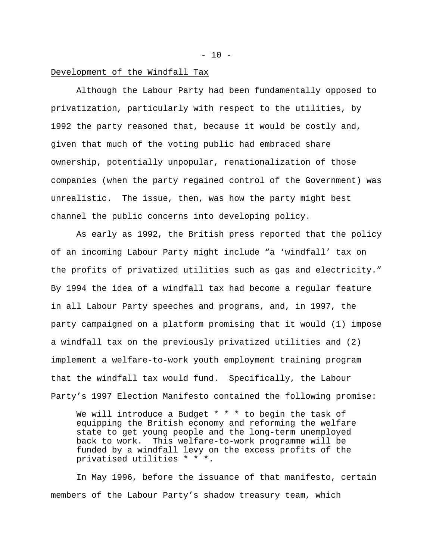### Development of the Windfall Tax

Although the Labour Party had been fundamentally opposed to privatization, particularly with respect to the utilities, by 1992 the party reasoned that, because it would be costly and, given that much of the voting public had embraced share ownership, potentially unpopular, renationalization of those companies (when the party regained control of the Government) was unrealistic. The issue, then, was how the party might best channel the public concerns into developing policy.

As early as 1992, the British press reported that the policy of an incoming Labour Party might include "a 'windfall' tax on the profits of privatized utilities such as gas and electricity." By 1994 the idea of a windfall tax had become a regular feature in all Labour Party speeches and programs, and, in 1997, the party campaigned on a platform promising that it would (1) impose a windfall tax on the previously privatized utilities and (2) implement a welfare-to-work youth employment training program that the windfall tax would fund. Specifically, the Labour Party's 1997 Election Manifesto contained the following promise:

We will introduce a Budget \* \* \* to begin the task of equipping the British economy and reforming the welfare state to get young people and the long-term unemployed back to work. This welfare-to-work programme will be funded by a windfall levy on the excess profits of the privatised utilities \* \* \*.

In May 1996, before the issuance of that manifesto, certain members of the Labour Party's shadow treasury team, which

 $- 10 -$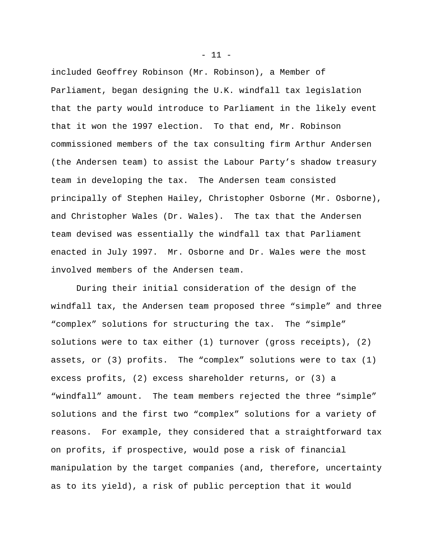included Geoffrey Robinson (Mr. Robinson), a Member of Parliament, began designing the U.K. windfall tax legislation that the party would introduce to Parliament in the likely event that it won the 1997 election. To that end, Mr. Robinson commissioned members of the tax consulting firm Arthur Andersen (the Andersen team) to assist the Labour Party's shadow treasury team in developing the tax. The Andersen team consisted principally of Stephen Hailey, Christopher Osborne (Mr. Osborne), and Christopher Wales (Dr. Wales). The tax that the Andersen team devised was essentially the windfall tax that Parliament enacted in July 1997. Mr. Osborne and Dr. Wales were the most involved members of the Andersen team.

During their initial consideration of the design of the windfall tax, the Andersen team proposed three "simple" and three "complex" solutions for structuring the tax. The "simple" solutions were to tax either (1) turnover (gross receipts), (2) assets, or (3) profits. The "complex" solutions were to tax (1) excess profits, (2) excess shareholder returns, or (3) a "windfall" amount. The team members rejected the three "simple" solutions and the first two "complex" solutions for a variety of reasons. For example, they considered that a straightforward tax on profits, if prospective, would pose a risk of financial manipulation by the target companies (and, therefore, uncertainty as to its yield), a risk of public perception that it would

 $-11 -$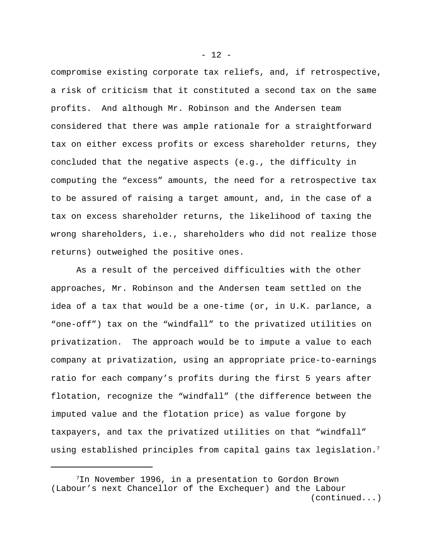compromise existing corporate tax reliefs, and, if retrospective, a risk of criticism that it constituted a second tax on the same profits. And although Mr. Robinson and the Andersen team considered that there was ample rationale for a straightforward tax on either excess profits or excess shareholder returns, they concluded that the negative aspects (e.g., the difficulty in computing the "excess" amounts, the need for a retrospective tax to be assured of raising a target amount, and, in the case of a tax on excess shareholder returns, the likelihood of taxing the wrong shareholders, i.e., shareholders who did not realize those returns) outweighed the positive ones.

As a result of the perceived difficulties with the other approaches, Mr. Robinson and the Andersen team settled on the idea of a tax that would be a one-time (or, in U.K. parlance, a "one-off") tax on the "windfall" to the privatized utilities on privatization. The approach would be to impute a value to each company at privatization, using an appropriate price-to-earnings ratio for each company's profits during the first 5 years after flotation, recognize the "windfall" (the difference between the imputed value and the flotation price) as value forgone by taxpayers, and tax the privatized utilities on that "windfall" using established principles from capital gains tax legislation.<sup>7</sup>

 $- 12 -$ 

<sup>&</sup>lt;sup>7</sup>In November 1996, in a presentation to Gordon Brown (Labour's next Chancellor of the Exchequer) and the Labour (continued...)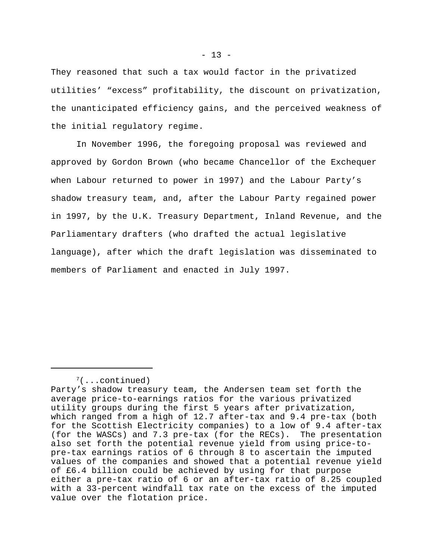They reasoned that such a tax would factor in the privatized utilities' "excess" profitability, the discount on privatization, the unanticipated efficiency gains, and the perceived weakness of the initial regulatory regime.

In November 1996, the foregoing proposal was reviewed and approved by Gordon Brown (who became Chancellor of the Exchequer when Labour returned to power in 1997) and the Labour Party's shadow treasury team, and, after the Labour Party regained power in 1997, by the U.K. Treasury Department, Inland Revenue, and the Parliamentary drafters (who drafted the actual legislative language), after which the draft legislation was disseminated to members of Parliament and enacted in July 1997.

 $7($ ...continued)

Party's shadow treasury team, the Andersen team set forth the average price-to-earnings ratios for the various privatized utility groups during the first 5 years after privatization, which ranged from a high of 12.7 after-tax and 9.4 pre-tax (both for the Scottish Electricity companies) to a low of 9.4 after-tax (for the WASCs) and 7.3 pre-tax (for the RECs). The presentation also set forth the potential revenue yield from using price-topre-tax earnings ratios of 6 through 8 to ascertain the imputed values of the companies and showed that a potential revenue yield of £6.4 billion could be achieved by using for that purpose either a pre-tax ratio of 6 or an after-tax ratio of 8.25 coupled with a 33-percent windfall tax rate on the excess of the imputed value over the flotation price.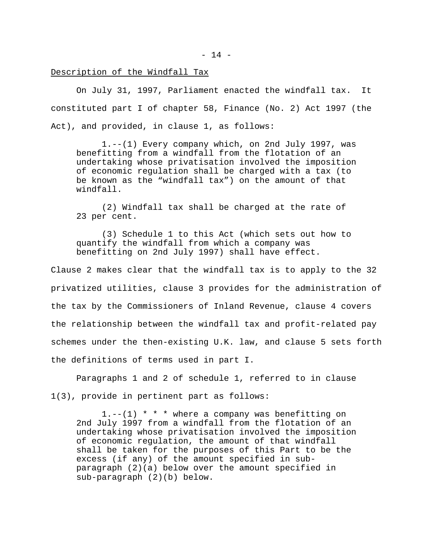#### Description of the Windfall Tax

On July 31, 1997, Parliament enacted the windfall tax. It constituted part I of chapter 58, Finance (No. 2) Act 1997 (the Act), and provided, in clause 1, as follows:

1.--(1) Every company which, on 2nd July 1997, was benefitting from a windfall from the flotation of an undertaking whose privatisation involved the imposition of economic regulation shall be charged with a tax (to be known as the "windfall tax") on the amount of that windfall.

(2) Windfall tax shall be charged at the rate of 23 per cent.

(3) Schedule 1 to this Act (which sets out how to quantify the windfall from which a company was benefitting on 2nd July 1997) shall have effect.

Clause 2 makes clear that the windfall tax is to apply to the 32 privatized utilities, clause 3 provides for the administration of the tax by the Commissioners of Inland Revenue, clause 4 covers the relationship between the windfall tax and profit-related pay schemes under the then-existing U.K. law, and clause 5 sets forth the definitions of terms used in part I.

Paragraphs 1 and 2 of schedule 1, referred to in clause 1(3), provide in pertinent part as follows:

1.--(1) \* \* \* where a company was benefitting on 2nd July 1997 from a windfall from the flotation of an undertaking whose privatisation involved the imposition of economic regulation, the amount of that windfall shall be taken for the purposes of this Part to be the excess (if any) of the amount specified in subparagraph (2)(a) below over the amount specified in sub-paragraph (2)(b) below.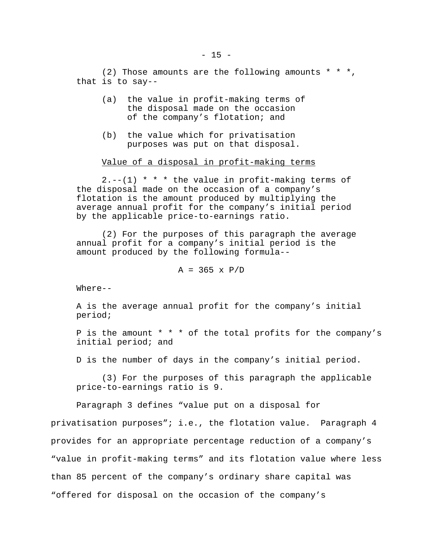(2) Those amounts are the following amounts  $* * *$ , that is to say--

- (a) the value in profit-making terms of the disposal made on the occasion of the company's flotation; and
- (b) the value which for privatisation purposes was put on that disposal.

#### Value of a disposal in profit-making terms

 $2. --(1)$  \* \* \* the value in profit-making terms of the disposal made on the occasion of a company's flotation is the amount produced by multiplying the average annual profit for the company's initial period by the applicable price-to-earnings ratio.

(2) For the purposes of this paragraph the average annual profit for a company's initial period is the amount produced by the following formula--

 $A = 365 \times P/D$ 

Where--

A is the average annual profit for the company's initial period;

P is the amount \* \* \* of the total profits for the company's initial period; and

D is the number of days in the company's initial period.

(3) For the purposes of this paragraph the applicable price-to-earnings ratio is 9.

Paragraph 3 defines "value put on a disposal for

privatisation purposes"; i.e., the flotation value. Paragraph 4 provides for an appropriate percentage reduction of a company's "value in profit-making terms" and its flotation value where less than 85 percent of the company's ordinary share capital was "offered for disposal on the occasion of the company's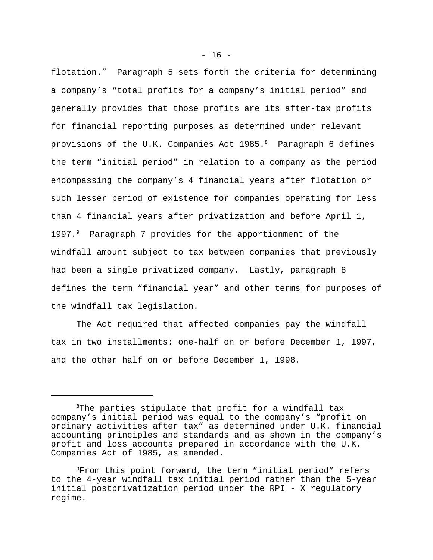flotation." Paragraph 5 sets forth the criteria for determining a company's "total profits for a company's initial period" and generally provides that those profits are its after-tax profits for financial reporting purposes as determined under relevant provisions of the U.K. Companies Act 1985.8 Paragraph 6 defines the term "initial period" in relation to a company as the period encompassing the company's 4 financial years after flotation or such lesser period of existence for companies operating for less than 4 financial years after privatization and before April 1, 1997.<sup>9</sup> Paragraph 7 provides for the apportionment of the windfall amount subject to tax between companies that previously had been a single privatized company. Lastly, paragraph 8 defines the term "financial year" and other terms for purposes of the windfall tax legislation.

The Act required that affected companies pay the windfall tax in two installments: one-half on or before December 1, 1997, and the other half on or before December 1, 1998.

<sup>&</sup>lt;sup>8</sup>The parties stipulate that profit for a windfall tax company's initial period was equal to the company's "profit on ordinary activities after tax" as determined under U.K. financial accounting principles and standards and as shown in the company's profit and loss accounts prepared in accordance with the U.K. Companies Act of 1985, as amended.

<sup>9</sup>From this point forward, the term "initial period" refers to the 4-year windfall tax initial period rather than the 5-year initial postprivatization period under the RPI - X regulatory regime.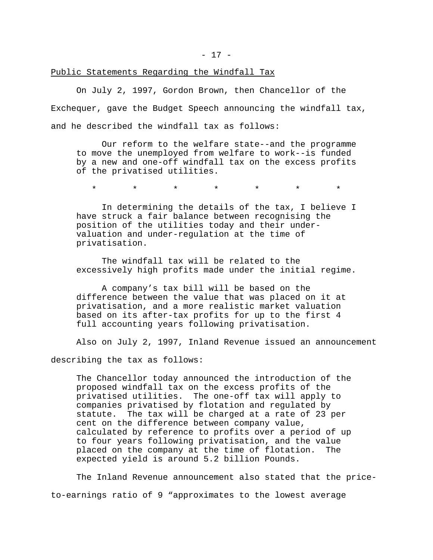### Public Statements Regarding the Windfall Tax

On July 2, 1997, Gordon Brown, then Chancellor of the Exchequer, gave the Budget Speech announcing the windfall tax, and he described the windfall tax as follows:

Our reform to the welfare state--and the programme to move the unemployed from welfare to work--is funded by a new and one-off windfall tax on the excess profits of the privatised utilities.

\* \* \* \* \* \* \*

In determining the details of the tax, I believe I have struck a fair balance between recognising the position of the utilities today and their undervaluation and under-regulation at the time of privatisation.

The windfall tax will be related to the excessively high profits made under the initial regime.

A company's tax bill will be based on the difference between the value that was placed on it at privatisation, and a more realistic market valuation based on its after-tax profits for up to the first 4 full accounting years following privatisation.

Also on July 2, 1997, Inland Revenue issued an announcement

describing the tax as follows:

The Chancellor today announced the introduction of the proposed windfall tax on the excess profits of the privatised utilities. The one-off tax will apply to companies privatised by flotation and regulated by statute. The tax will be charged at a rate of 23 per cent on the difference between company value, calculated by reference to profits over a period of up to four years following privatisation, and the value placed on the company at the time of flotation. The expected yield is around 5.2 billion Pounds.

The Inland Revenue announcement also stated that the priceto-earnings ratio of 9 "approximates to the lowest average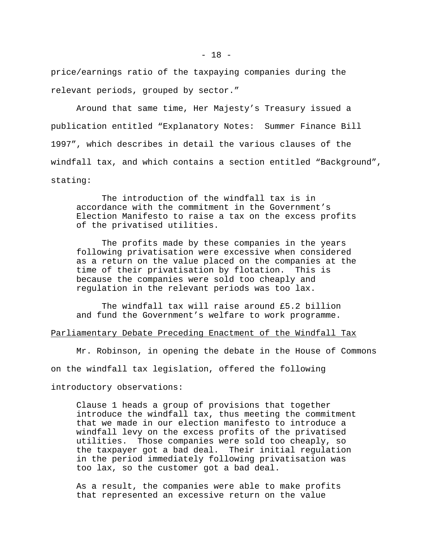price/earnings ratio of the taxpaying companies during the relevant periods, grouped by sector."

Around that same time, Her Majesty's Treasury issued a publication entitled "Explanatory Notes: Summer Finance Bill 1997", which describes in detail the various clauses of the windfall tax, and which contains a section entitled "Background", stating:

The introduction of the windfall tax is in accordance with the commitment in the Government's Election Manifesto to raise a tax on the excess profits of the privatised utilities.

The profits made by these companies in the years following privatisation were excessive when considered as a return on the value placed on the companies at the time of their privatisation by flotation. This is because the companies were sold too cheaply and regulation in the relevant periods was too lax.

The windfall tax will raise around £5.2 billion and fund the Government's welfare to work programme.

### Parliamentary Debate Preceding Enactment of the Windfall Tax

Mr. Robinson, in opening the debate in the House of Commons on the windfall tax legislation, offered the following introductory observations:

Clause 1 heads a group of provisions that together introduce the windfall tax, thus meeting the commitment that we made in our election manifesto to introduce a windfall levy on the excess profits of the privatised utilities. Those companies were sold too cheaply, so the taxpayer got a bad deal. Their initial regulation in the period immediately following privatisation was too lax, so the customer got a bad deal.

As a result, the companies were able to make profits that represented an excessive return on the value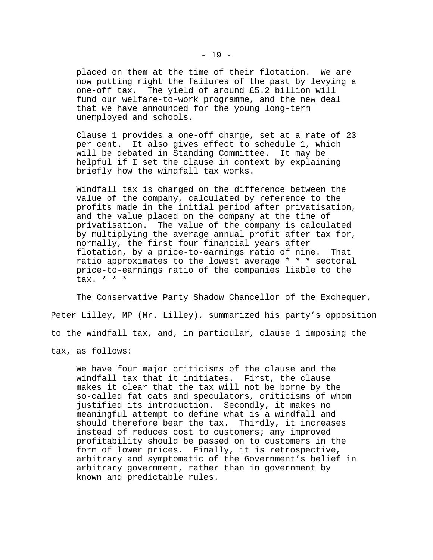placed on them at the time of their flotation. We are now putting right the failures of the past by levying a one-off tax. The yield of around £5.2 billion will fund our welfare-to-work programme, and the new deal that we have announced for the young long-term unemployed and schools.

Clause 1 provides a one-off charge, set at a rate of 23 per cent. It also gives effect to schedule 1, which will be debated in Standing Committee. It may be helpful if I set the clause in context by explaining briefly how the windfall tax works.

Windfall tax is charged on the difference between the value of the company, calculated by reference to the profits made in the initial period after privatisation, and the value placed on the company at the time of privatisation. The value of the company is calculated by multiplying the average annual profit after tax for, normally, the first four financial years after flotation, by a price-to-earnings ratio of nine. That ratio approximates to the lowest average \* \* \* sectoral price-to-earnings ratio of the companies liable to the tax. \* \* \*

The Conservative Party Shadow Chancellor of the Exchequer, Peter Lilley, MP (Mr. Lilley), summarized his party's opposition to the windfall tax, and, in particular, clause 1 imposing the tax, as follows:

We have four major criticisms of the clause and the windfall tax that it initiates. First, the clause makes it clear that the tax will not be borne by the so-called fat cats and speculators, criticisms of whom justified its introduction. Secondly, it makes no meaningful attempt to define what is a windfall and should therefore bear the tax. Thirdly, it increases instead of reduces cost to customers; any improved profitability should be passed on to customers in the form of lower prices. Finally, it is retrospective, arbitrary and symptomatic of the Government's belief in arbitrary government, rather than in government by known and predictable rules.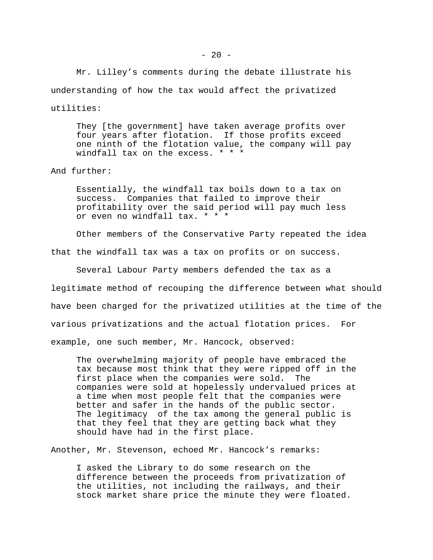Mr. Lilley's comments during the debate illustrate his understanding of how the tax would affect the privatized

utilities:

They [the government] have taken average profits over four years after flotation. If those profits exceed one ninth of the flotation value, the company will pay windfall tax on the excess. \* \* \*

And further:

Essentially, the windfall tax boils down to a tax on success. Companies that failed to improve their profitability over the said period will pay much less or even no windfall tax. \* \* \*

Other members of the Conservative Party repeated the idea

that the windfall tax was a tax on profits or on success.

Several Labour Party members defended the tax as a legitimate method of recouping the difference between what should have been charged for the privatized utilities at the time of the various privatizations and the actual flotation prices. For example, one such member, Mr. Hancock, observed:

The overwhelming majority of people have embraced the tax because most think that they were ripped off in the first place when the companies were sold. The companies were sold at hopelessly undervalued prices at a time when most people felt that the companies were better and safer in the hands of the public sector. The legitimacy of the tax among the general public is that they feel that they are getting back what they should have had in the first place.

Another, Mr. Stevenson, echoed Mr. Hancock's remarks:

I asked the Library to do some research on the difference between the proceeds from privatization of the utilities, not including the railways, and their stock market share price the minute they were floated.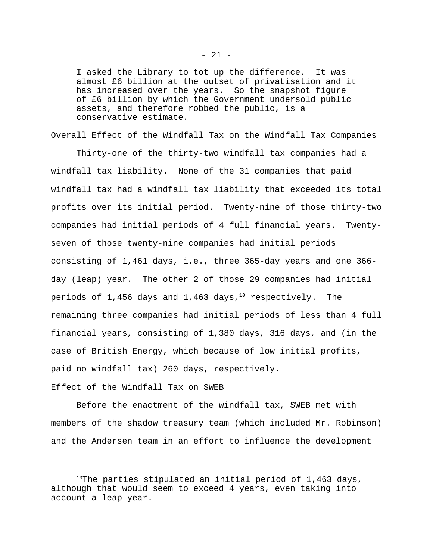I asked the Library to tot up the difference. It was almost £6 billion at the outset of privatisation and it has increased over the years. So the snapshot figure of £6 billion by which the Government undersold public assets, and therefore robbed the public, is a conservative estimate.

#### Overall Effect of the Windfall Tax on the Windfall Tax Companies

Thirty-one of the thirty-two windfall tax companies had a windfall tax liability. None of the 31 companies that paid windfall tax had a windfall tax liability that exceeded its total profits over its initial period. Twenty-nine of those thirty-two companies had initial periods of 4 full financial years. Twentyseven of those twenty-nine companies had initial periods consisting of 1,461 days, i.e., three 365-day years and one 366 day (leap) year. The other 2 of those 29 companies had initial periods of 1,456 days and 1,463 days, $^{10}$  respectively. The remaining three companies had initial periods of less than 4 full financial years, consisting of 1,380 days, 316 days, and (in the case of British Energy, which because of low initial profits, paid no windfall tax) 260 days, respectively.

#### Effect of the Windfall Tax on SWEB

Before the enactment of the windfall tax, SWEB met with members of the shadow treasury team (which included Mr. Robinson) and the Andersen team in an effort to influence the development

 $10$ The parties stipulated an initial period of 1,463 days, although that would seem to exceed 4 years, even taking into account a leap year.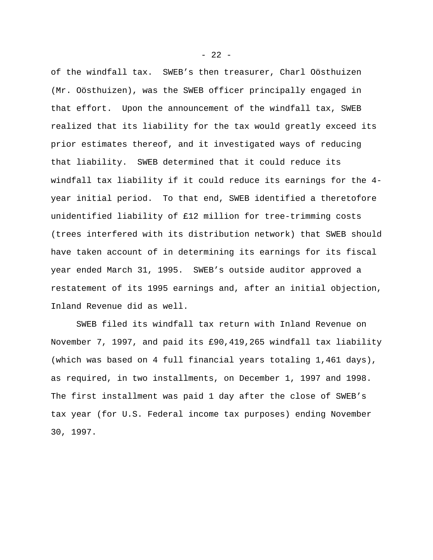of the windfall tax. SWEB's then treasurer, Charl Oösthuizen (Mr. Oösthuizen), was the SWEB officer principally engaged in that effort. Upon the announcement of the windfall tax, SWEB realized that its liability for the tax would greatly exceed its prior estimates thereof, and it investigated ways of reducing that liability. SWEB determined that it could reduce its windfall tax liability if it could reduce its earnings for the 4 year initial period. To that end, SWEB identified a theretofore unidentified liability of £12 million for tree-trimming costs (trees interfered with its distribution network) that SWEB should have taken account of in determining its earnings for its fiscal year ended March 31, 1995. SWEB's outside auditor approved a restatement of its 1995 earnings and, after an initial objection, Inland Revenue did as well.

SWEB filed its windfall tax return with Inland Revenue on November 7, 1997, and paid its £90,419,265 windfall tax liability (which was based on 4 full financial years totaling 1,461 days), as required, in two installments, on December 1, 1997 and 1998. The first installment was paid 1 day after the close of SWEB's tax year (for U.S. Federal income tax purposes) ending November 30, 1997.

 $- 22 -$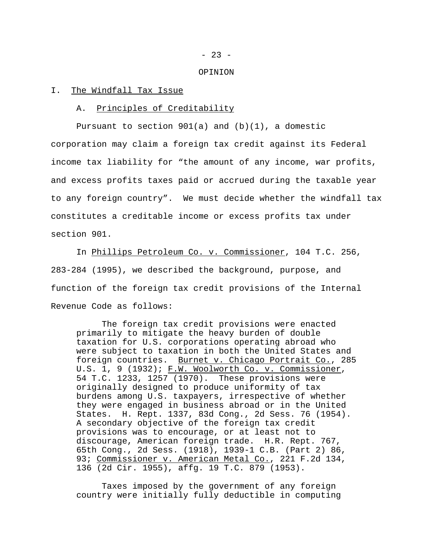$- 23 -$ 

#### OPINION

#### I. The Windfall Tax Issue

#### A. Principles of Creditability

Pursuant to section  $901(a)$  and  $(b)(1)$ , a domestic corporation may claim a foreign tax credit against its Federal income tax liability for "the amount of any income, war profits, and excess profits taxes paid or accrued during the taxable year to any foreign country". We must decide whether the windfall tax constitutes a creditable income or excess profits tax under section 901.

In Phillips Petroleum Co. v. Commissioner, 104 T.C. 256, 283-284 (1995), we described the background, purpose, and function of the foreign tax credit provisions of the Internal Revenue Code as follows:

The foreign tax credit provisions were enacted primarily to mitigate the heavy burden of double taxation for U.S. corporations operating abroad who were subject to taxation in both the United States and foreign countries. Burnet v. Chicago Portrait Co., 285 U.S. 1, 9 (1932); F.W. Woolworth Co. v. Commissioner, 54 T.C. 1233, 1257 (1970). These provisions were originally designed to produce uniformity of tax burdens among U.S. taxpayers, irrespective of whether they were engaged in business abroad or in the United States. H. Rept. 1337, 83d Cong., 2d Sess. 76 (1954). A secondary objective of the foreign tax credit provisions was to encourage, or at least not to discourage, American foreign trade. H.R. Rept. 767, 65th Cong., 2d Sess. (1918), 1939-1 C.B. (Part 2) 86, 93; Commissioner v. American Metal Co., 221 F.2d 134, 136 (2d Cir. 1955), affg. 19 T.C. 879 (1953).

Taxes imposed by the government of any foreign country were initially fully deductible in computing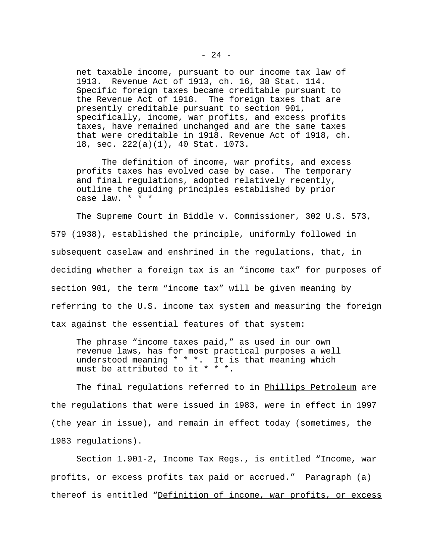net taxable income, pursuant to our income tax law of 1913. Revenue Act of 1913, ch. 16, 38 Stat. 114. Specific foreign taxes became creditable pursuant to the Revenue Act of 1918. The foreign taxes that are presently creditable pursuant to section 901, specifically, income, war profits, and excess profits taxes, have remained unchanged and are the same taxes that were creditable in 1918. Revenue Act of 1918, ch. 18, sec. 222(a)(1), 40 Stat. 1073.

The definition of income, war profits, and excess profits taxes has evolved case by case. The temporary and final regulations, adopted relatively recently, outline the guiding principles established by prior case law.  $* * * *$ 

The Supreme Court in Biddle v. Commissioner, 302 U.S. 573, 579 (1938), established the principle, uniformly followed in subsequent caselaw and enshrined in the regulations, that, in deciding whether a foreign tax is an "income tax" for purposes of section 901, the term "income tax" will be given meaning by referring to the U.S. income tax system and measuring the foreign tax against the essential features of that system:

The phrase "income taxes paid," as used in our own revenue laws, has for most practical purposes a well understood meaning \* \* \*. It is that meaning which must be attributed to it \* \* \*.

The final regulations referred to in Phillips Petroleum are the regulations that were issued in 1983, were in effect in 1997 (the year in issue), and remain in effect today (sometimes, the 1983 regulations).

Section 1.901-2, Income Tax Regs., is entitled "Income, war profits, or excess profits tax paid or accrued." Paragraph (a) thereof is entitled "Definition of income, war profits, or excess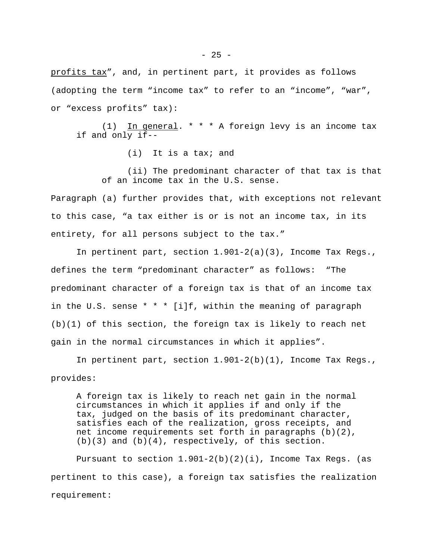profits tax", and, in pertinent part, it provides as follows (adopting the term "income tax" to refer to an "income", "war", or "excess profits" tax):

(1) In general. \* \* \* A foreign levy is an income tax if and only if--

(i) It is a tax; and

(ii) The predominant character of that tax is that of an income tax in the U.S. sense.

Paragraph (a) further provides that, with exceptions not relevant to this case, "a tax either is or is not an income tax, in its entirety, for all persons subject to the tax."

In pertinent part, section 1.901-2(a)(3), Income Tax Regs., defines the term "predominant character" as follows: "The predominant character of a foreign tax is that of an income tax in the U.S. sense  $* * * [i]f$ , within the meaning of paragraph (b)(1) of this section, the foreign tax is likely to reach net gain in the normal circumstances in which it applies".

In pertinent part, section 1.901-2(b)(1), Income Tax Regs., provides:

A foreign tax is likely to reach net gain in the normal circumstances in which it applies if and only if the tax, judged on the basis of its predominant character, satisfies each of the realization, gross receipts, and net income requirements set forth in paragraphs (b)(2),  $(b)(3)$  and  $(b)(4)$ , respectively, of this section.

Pursuant to section  $1.901-2(b)(2)(i)$ , Income Tax Regs. (as pertinent to this case), a foreign tax satisfies the realization requirement: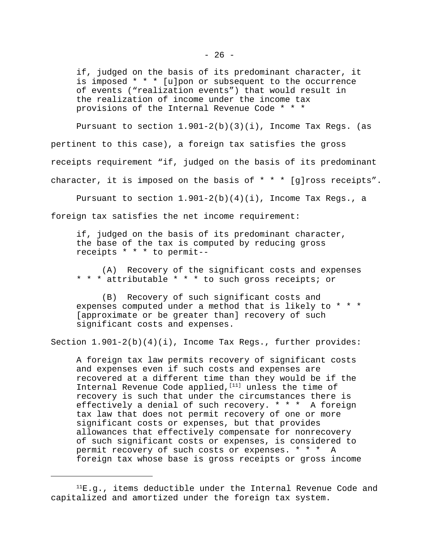if, judged on the basis of its predominant character, it is imposed \* \* \* [u]pon or subsequent to the occurrence of events ("realization events") that would result in the realization of income under the income tax provisions of the Internal Revenue Code \* \* \*

Pursuant to section  $1.901-2(b)(3)(i)$ , Income Tax Regs. (as pertinent to this case), a foreign tax satisfies the gross receipts requirement "if, judged on the basis of its predominant character, it is imposed on the basis of \* \* \* [g]ross receipts".

Pursuant to section 1.901-2(b)(4)(i), Income Tax Regs., a foreign tax satisfies the net income requirement:

if, judged on the basis of its predominant character, the base of the tax is computed by reducing gross receipts \* \* \* to permit--

(A) Recovery of the significant costs and expenses \* \* \* attributable \* \* \* to such gross receipts; or

(B) Recovery of such significant costs and expenses computed under a method that is likely to \* \* \* [approximate or be greater than] recovery of such significant costs and expenses.

Section 1.901-2(b)(4)(i), Income Tax Regs., further provides:

A foreign tax law permits recovery of significant costs and expenses even if such costs and expenses are recovered at a different time than they would be if the Internal Revenue Code applied,  $[11]$  unless the time of recovery is such that under the circumstances there is effectively a denial of such recovery. \* \* \* A foreign tax law that does not permit recovery of one or more significant costs or expenses, but that provides allowances that effectively compensate for nonrecovery of such significant costs or expenses, is considered to permit recovery of such costs or expenses. \* \* \* A foreign tax whose base is gross receipts or gross income

 ${}^{11}E.9.$ , items deductible under the Internal Revenue Code and capitalized and amortized under the foreign tax system.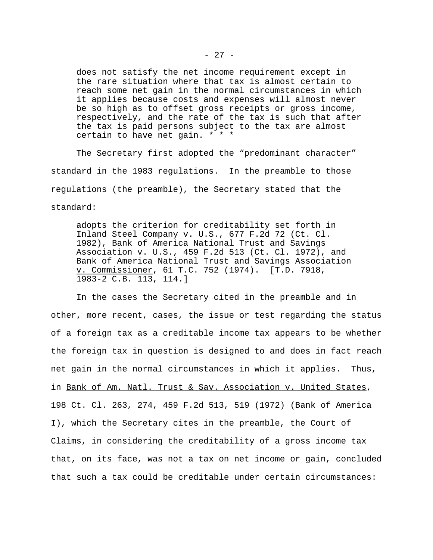does not satisfy the net income requirement except in the rare situation where that tax is almost certain to reach some net gain in the normal circumstances in which it applies because costs and expenses will almost never be so high as to offset gross receipts or gross income, respectively, and the rate of the tax is such that after the tax is paid persons subject to the tax are almost certain to have net gain. \* \* \*

The Secretary first adopted the "predominant character" standard in the 1983 regulations. In the preamble to those regulations (the preamble), the Secretary stated that the standard:

adopts the criterion for creditability set forth in Inland Steel Company v. U.S., 677 F.2d 72 (Ct. Cl. 1982), Bank of America National Trust and Savings Association v. U.S., 459 F.2d 513 (Ct. Cl. 1972), and Bank of America National Trust and Savings Association v. Commissioner, 61 T.C. 752 (1974). [T.D. 7918, 1983-2 C.B. 113, 114.]

In the cases the Secretary cited in the preamble and in other, more recent, cases, the issue or test regarding the status of a foreign tax as a creditable income tax appears to be whether the foreign tax in question is designed to and does in fact reach net gain in the normal circumstances in which it applies. Thus, in Bank of Am. Natl. Trust & Sav. Association v. United States, 198 Ct. Cl. 263, 274, 459 F.2d 513, 519 (1972) (Bank of America I), which the Secretary cites in the preamble, the Court of Claims, in considering the creditability of a gross income tax that, on its face, was not a tax on net income or gain, concluded that such a tax could be creditable under certain circumstances: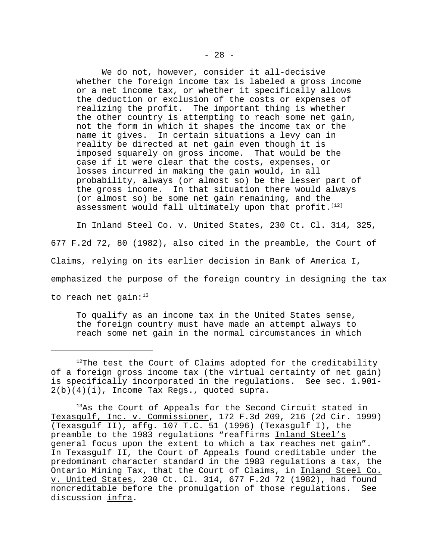We do not, however, consider it all-decisive whether the foreign income tax is labeled a gross income or a net income tax, or whether it specifically allows the deduction or exclusion of the costs or expenses of realizing the profit. The important thing is whether the other country is attempting to reach some net gain, not the form in which it shapes the income tax or the name it gives. In certain situations a levy can in reality be directed at net gain even though it is imposed squarely on gross income. That would be the case if it were clear that the costs, expenses, or losses incurred in making the gain would, in all probability, always (or almost so) be the lesser part of the gross income. In that situation there would always (or almost so) be some net gain remaining, and the assessment would fall ultimately upon that profit.<sup>[12]</sup>

In Inland Steel Co. v. United States, 230 Ct. Cl. 314, 325, 677 F.2d 72, 80 (1982), also cited in the preamble, the Court of Claims, relying on its earlier decision in Bank of America I, emphasized the purpose of the foreign country in designing the tax to reach net gain: $13$ 

To qualify as an income tax in the United States sense, the foreign country must have made an attempt always to reach some net gain in the normal circumstances in which

 $12$ The test the Court of Claims adopted for the creditability of a foreign gross income tax (the virtual certainty of net gain) is specifically incorporated in the regulations. See sec. 1.901-  $2(b)(4)(i)$ , Income Tax Regs., quoted supra.

<sup>&</sup>lt;sup>13</sup>As the Court of Appeals for the Second Circuit stated in Texasgulf, Inc. v. Commissioner, 172 F.3d 209, 216 (2d Cir. 1999) (Texasgulf II), affg. 107 T.C. 51 (1996) (Texasgulf I), the preamble to the 1983 regulations "reaffirms Inland Steel's general focus upon the extent to which a tax reaches net gain". In Texasgulf II, the Court of Appeals found creditable under the predominant character standard in the 1983 regulations a tax, the Ontario Mining Tax, that the Court of Claims, in Inland Steel Co. v. United States, 230 Ct. Cl. 314, 677 F.2d 72 (1982), had found noncreditable before the promulgation of those regulations. See discussion infra.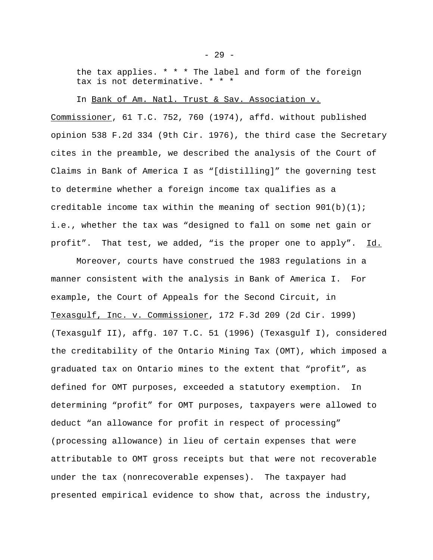the tax applies.  $* * *$  The label and form of the foreign tax is not determinative. \* \* \*

In Bank of Am. Natl. Trust & Sav. Association v.

Commissioner, 61 T.C. 752, 760 (1974), affd. without published opinion 538 F.2d 334 (9th Cir. 1976), the third case the Secretary cites in the preamble, we described the analysis of the Court of Claims in Bank of America I as "[distilling]" the governing test to determine whether a foreign income tax qualifies as a creditable income tax within the meaning of section  $901(b)(1)$ ; i.e., whether the tax was "designed to fall on some net gain or profit". That test, we added, "is the proper one to apply". Id.

Moreover, courts have construed the 1983 regulations in a manner consistent with the analysis in Bank of America I. For example, the Court of Appeals for the Second Circuit, in Texasgulf, Inc. v. Commissioner, 172 F.3d 209 (2d Cir. 1999) (Texasgulf II), affg. 107 T.C. 51 (1996) (Texasgulf I), considered the creditability of the Ontario Mining Tax (OMT), which imposed a graduated tax on Ontario mines to the extent that "profit", as defined for OMT purposes, exceeded a statutory exemption. In determining "profit" for OMT purposes, taxpayers were allowed to deduct "an allowance for profit in respect of processing" (processing allowance) in lieu of certain expenses that were attributable to OMT gross receipts but that were not recoverable under the tax (nonrecoverable expenses). The taxpayer had presented empirical evidence to show that, across the industry,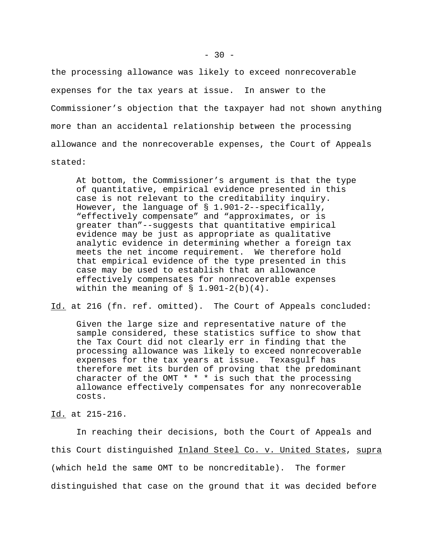the processing allowance was likely to exceed nonrecoverable expenses for the tax years at issue. In answer to the Commissioner's objection that the taxpayer had not shown anything more than an accidental relationship between the processing allowance and the nonrecoverable expenses, the Court of Appeals stated:

At bottom, the Commissioner's argument is that the type of quantitative, empirical evidence presented in this case is not relevant to the creditability inquiry. However, the language of § 1.901-2--specifically, "effectively compensate" and "approximates, or is greater than"--suggests that quantitative empirical evidence may be just as appropriate as qualitative analytic evidence in determining whether a foreign tax meets the net income requirement. We therefore hold that empirical evidence of the type presented in this case may be used to establish that an allowance effectively compensates for nonrecoverable expenses within the meaning of  $\S$  1.901-2(b)(4).

Id. at 216 (fn. ref. omitted). The Court of Appeals concluded:

Given the large size and representative nature of the sample considered, these statistics suffice to show that the Tax Court did not clearly err in finding that the processing allowance was likely to exceed nonrecoverable expenses for the tax years at issue. Texasgulf has therefore met its burden of proving that the predominant character of the OMT  $* * *$  is such that the processing allowance effectively compensates for any nonrecoverable costs.

Id. at 215-216.

In reaching their decisions, both the Court of Appeals and this Court distinguished Inland Steel Co. v. United States, supra (which held the same OMT to be noncreditable). The former distinguished that case on the ground that it was decided before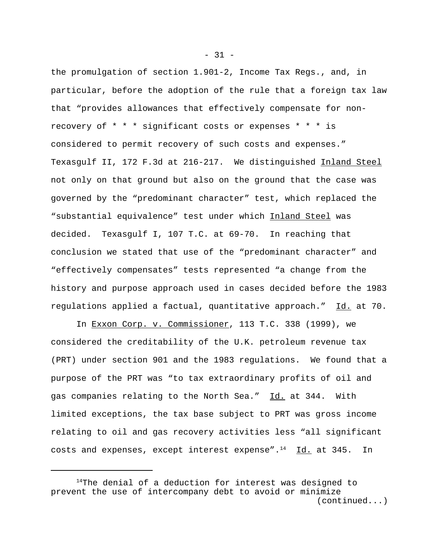the promulgation of section 1.901-2, Income Tax Regs., and, in particular, before the adoption of the rule that a foreign tax law that "provides allowances that effectively compensate for nonrecovery of \* \* \* significant costs or expenses \* \* \* is considered to permit recovery of such costs and expenses." Texasgulf II, 172 F.3d at 216-217. We distinguished Inland Steel not only on that ground but also on the ground that the case was governed by the "predominant character" test, which replaced the "substantial equivalence" test under which Inland Steel was decided. Texasgulf I, 107 T.C. at 69-70. In reaching that conclusion we stated that use of the "predominant character" and "effectively compensates" tests represented "a change from the history and purpose approach used in cases decided before the 1983 regulations applied a factual, quantitative approach." Id. at 70.

In Exxon Corp. v. Commissioner, 113 T.C. 338 (1999), we considered the creditability of the U.K. petroleum revenue tax (PRT) under section 901 and the 1983 regulations. We found that a purpose of the PRT was "to tax extraordinary profits of oil and gas companies relating to the North Sea." Id. at 344. With limited exceptions, the tax base subject to PRT was gross income relating to oil and gas recovery activities less "all significant costs and expenses, except interest expense". $^{14}$  Id. at 345. In

 $- 31 -$ 

 $14$ The denial of a deduction for interest was designed to prevent the use of intercompany debt to avoid or minimize (continued...)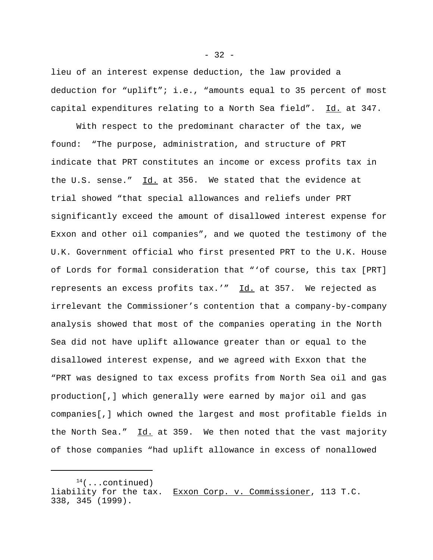lieu of an interest expense deduction, the law provided a deduction for "uplift"; i.e., "amounts equal to 35 percent of most capital expenditures relating to a North Sea field". Id. at 347.

With respect to the predominant character of the tax, we found: "The purpose, administration, and structure of PRT indicate that PRT constitutes an income or excess profits tax in the U.S. sense."  $Id.$  at 356. We stated that the evidence at trial showed "that special allowances and reliefs under PRT significantly exceed the amount of disallowed interest expense for Exxon and other oil companies", and we quoted the testimony of the U.K. Government official who first presented PRT to the U.K. House of Lords for formal consideration that "'of course, this tax [PRT] represents an excess profits tax.'" Id. at 357. We rejected as irrelevant the Commissioner's contention that a company-by-company analysis showed that most of the companies operating in the North Sea did not have uplift allowance greater than or equal to the disallowed interest expense, and we agreed with Exxon that the "PRT was designed to tax excess profits from North Sea oil and gas production[,] which generally were earned by major oil and gas companies[,] which owned the largest and most profitable fields in the North Sea."  $\underline{Id.}$  at 359. We then noted that the vast majority of those companies "had uplift allowance in excess of nonallowed

 $-32 -$ 

 $14$ (...continued) liability for the tax. Exxon Corp. v. Commissioner, 113 T.C. 338, 345 (1999).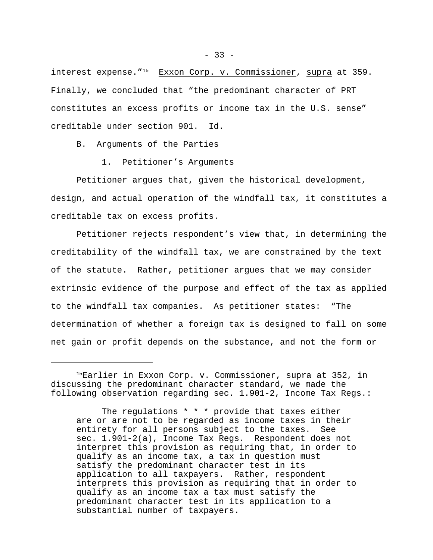interest expense."<sup>15</sup> Exxon Corp. v. Commissioner, supra at 359. Finally, we concluded that "the predominant character of PRT constitutes an excess profits or income tax in the U.S. sense" creditable under section 901. Id.

B. Arguments of the Parties

#### 1. Petitioner's Arguments

Petitioner argues that, given the historical development, design, and actual operation of the windfall tax, it constitutes a creditable tax on excess profits.

Petitioner rejects respondent's view that, in determining the creditability of the windfall tax, we are constrained by the text of the statute. Rather, petitioner argues that we may consider extrinsic evidence of the purpose and effect of the tax as applied to the windfall tax companies. As petitioner states: "The determination of whether a foreign tax is designed to fall on some net gain or profit depends on the substance, and not the form or

The regulations \* \* \* provide that taxes either are or are not to be regarded as income taxes in their entirety for all persons subject to the taxes. See sec. 1.901-2(a), Income Tax Regs. Respondent does not interpret this provision as requiring that, in order to qualify as an income tax, a tax in question must satisfy the predominant character test in its application to all taxpayers. Rather, respondent interprets this provision as requiring that in order to qualify as an income tax a tax must satisfy the predominant character test in its application to a substantial number of taxpayers.

<sup>&</sup>lt;sup>15</sup>Earlier in <u>Exxon Corp. v. Commissioner</u>, supra at 352, in discussing the predominant character standard, we made the following observation regarding sec. 1.901-2, Income Tax Regs.: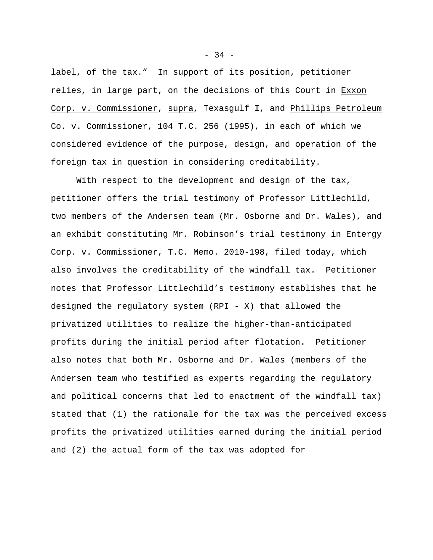label, of the tax." In support of its position, petitioner relies, in large part, on the decisions of this Court in Exxon Corp. v. Commissioner, supra, Texasgulf I, and Phillips Petroleum Co. v. Commissioner, 104 T.C. 256 (1995), in each of which we considered evidence of the purpose, design, and operation of the foreign tax in question in considering creditability.

With respect to the development and design of the tax, petitioner offers the trial testimony of Professor Littlechild, two members of the Andersen team (Mr. Osborne and Dr. Wales), and an exhibit constituting Mr. Robinson's trial testimony in Entergy Corp. v. Commissioner, T.C. Memo. 2010-198, filed today, which also involves the creditability of the windfall tax. Petitioner notes that Professor Littlechild's testimony establishes that he designed the regulatory system (RPI - X) that allowed the privatized utilities to realize the higher-than-anticipated profits during the initial period after flotation. Petitioner also notes that both Mr. Osborne and Dr. Wales (members of the Andersen team who testified as experts regarding the regulatory and political concerns that led to enactment of the windfall tax) stated that (1) the rationale for the tax was the perceived excess profits the privatized utilities earned during the initial period and (2) the actual form of the tax was adopted for

 $-34 -$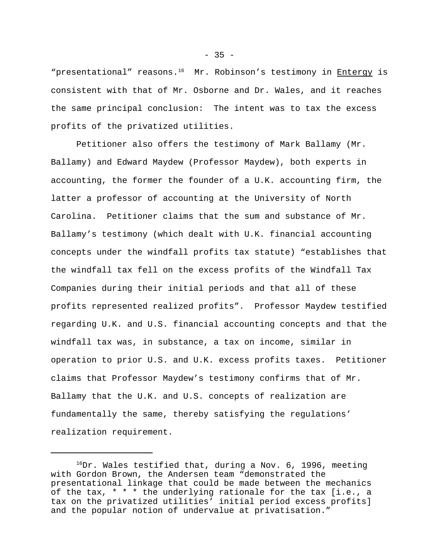"presentational" reasons.<sup>16</sup> Mr. Robinson's testimony in Entergy is consistent with that of Mr. Osborne and Dr. Wales, and it reaches the same principal conclusion: The intent was to tax the excess profits of the privatized utilities.

Petitioner also offers the testimony of Mark Ballamy (Mr. Ballamy) and Edward Maydew (Professor Maydew), both experts in accounting, the former the founder of a U.K. accounting firm, the latter a professor of accounting at the University of North Carolina. Petitioner claims that the sum and substance of Mr. Ballamy's testimony (which dealt with U.K. financial accounting concepts under the windfall profits tax statute) "establishes that the windfall tax fell on the excess profits of the Windfall Tax Companies during their initial periods and that all of these profits represented realized profits". Professor Maydew testified regarding U.K. and U.S. financial accounting concepts and that the windfall tax was, in substance, a tax on income, similar in operation to prior U.S. and U.K. excess profits taxes. Petitioner claims that Professor Maydew's testimony confirms that of Mr. Ballamy that the U.K. and U.S. concepts of realization are fundamentally the same, thereby satisfying the regulations' realization requirement.

 $^{16}$ Dr. Wales testified that, during a Nov. 6, 1996, meeting with Gordon Brown, the Andersen team "demonstrated the presentational linkage that could be made between the mechanics of the tax, \* \* \* the underlying rationale for the tax [i.e., a tax on the privatized utilities' initial period excess profits] and the popular notion of undervalue at privatisation."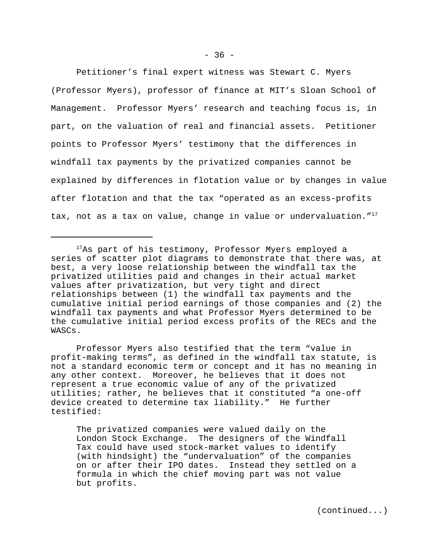Petitioner's final expert witness was Stewart C. Myers (Professor Myers), professor of finance at MIT's Sloan School of Management. Professor Myers' research and teaching focus is, in part, on the valuation of real and financial assets. Petitioner points to Professor Myers' testimony that the differences in windfall tax payments by the privatized companies cannot be explained by differences in flotation value or by changes in value after flotation and that the tax "operated as an excess-profits tax, not as a tax on value, change in value or undervaluation."<sup>17</sup>

Professor Myers also testified that the term "value in profit-making terms", as defined in the windfall tax statute, is not a standard economic term or concept and it has no meaning in any other context. Moreover, he believes that it does not represent a true economic value of any of the privatized utilities; rather, he believes that it constituted "a one-off device created to determine tax liability." He further testified:

The privatized companies were valued daily on the London Stock Exchange. The designers of the Windfall Tax could have used stock-market values to identify (with hindsight) the "undervaluation" of the companies on or after their IPO dates. Instead they settled on a formula in which the chief moving part was not value but profits.

(continued...)

<sup>&</sup>lt;sup>17</sup>As part of his testimony, Professor Myers employed a series of scatter plot diagrams to demonstrate that there was, at best, a very loose relationship between the windfall tax the privatized utilities paid and changes in their actual market values after privatization, but very tight and direct relationships between (1) the windfall tax payments and the cumulative initial period earnings of those companies and (2) the windfall tax payments and what Professor Myers determined to be the cumulative initial period excess profits of the RECs and the WASCs.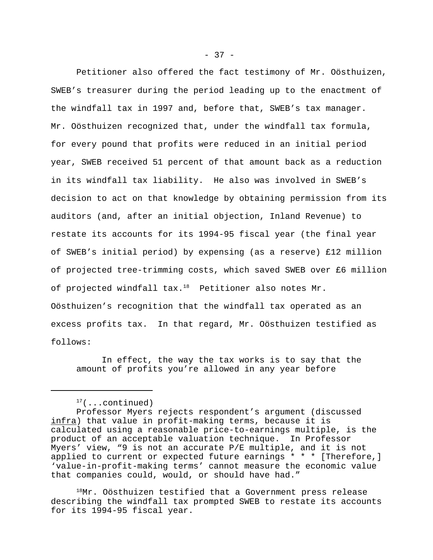Petitioner also offered the fact testimony of Mr. Oösthuizen, SWEB's treasurer during the period leading up to the enactment of the windfall tax in 1997 and, before that, SWEB's tax manager. Mr. Oösthuizen recognized that, under the windfall tax formula, for every pound that profits were reduced in an initial period year, SWEB received 51 percent of that amount back as a reduction in its windfall tax liability. He also was involved in SWEB's decision to act on that knowledge by obtaining permission from its auditors (and, after an initial objection, Inland Revenue) to restate its accounts for its 1994-95 fiscal year (the final year of SWEB's initial period) by expensing (as a reserve) £12 million of projected tree-trimming costs, which saved SWEB over £6 million of projected windfall  $\text{tax.}^{18}$  Petitioner also notes Mr. Oösthuizen's recognition that the windfall tax operated as an excess profits tax. In that regard, Mr. Oösthuizen testified as follows:

In effect, the way the tax works is to say that the amount of profits you're allowed in any year before

 $^{18}$ Mr. Oösthuizen testified that a Government press release describing the windfall tax prompted SWEB to restate its accounts for its 1994-95 fiscal year.

 $17$ (...continued)

Professor Myers rejects respondent's argument (discussed infra) that value in profit-making terms, because it is calculated using a reasonable price-to-earnings multiple, is the product of an acceptable valuation technique. In Professor Myers' view, "9 is not an accurate P/E multiple, and it is not applied to current or expected future earnings \* \* \* [Therefore,] 'value-in-profit-making terms' cannot measure the economic value that companies could, would, or should have had."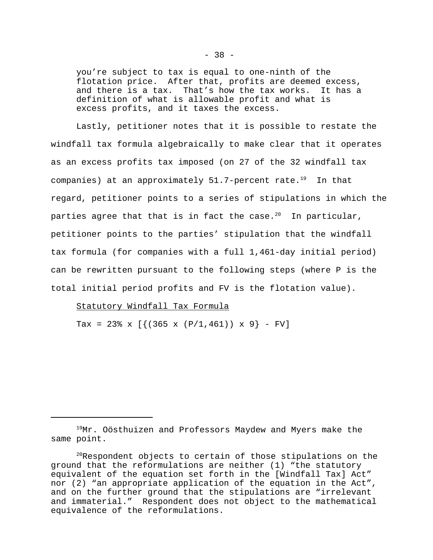you're subject to tax is equal to one-ninth of the flotation price. After that, profits are deemed excess, and there is a tax. That's how the tax works. It has a definition of what is allowable profit and what is excess profits, and it taxes the excess.

Lastly, petitioner notes that it is possible to restate the windfall tax formula algebraically to make clear that it operates as an excess profits tax imposed (on 27 of the 32 windfall tax companies) at an approximately  $51.7$ -percent rate.<sup>19</sup> In that regard, petitioner points to a series of stipulations in which the parties agree that that is in fact the case.<sup>20</sup> In particular, petitioner points to the parties' stipulation that the windfall tax formula (for companies with a full 1,461-day initial period) can be rewritten pursuant to the following steps (where P is the total initial period profits and FV is the flotation value).

### Statutory Windfall Tax Formula

Tax = 23% x  $[\{(365 \times (P/1, 461)) \times 9\} - FV]$ 

<sup>&</sup>lt;sup>19</sup>Mr. Oösthuizen and Professors Maydew and Myers make the same point.

 $^{20}$ Respondent objects to certain of those stipulations on the ground that the reformulations are neither (1) "the statutory equivalent of the equation set forth in the [Windfall Tax] Act" nor (2) "an appropriate application of the equation in the Act", and on the further ground that the stipulations are "irrelevant and immaterial." Respondent does not object to the mathematical equivalence of the reformulations.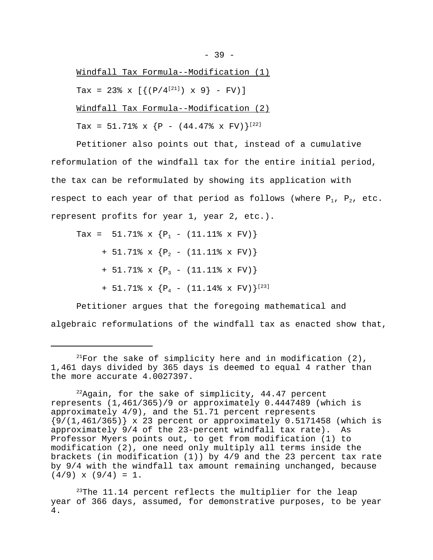Windfall Tax Formula--Modification (1) Tax = 23% x  $[{ (P/4^{[21]}) \times 9 } - FV )]$ Windfall Tax Formula--Modification (2) Tax =  $51.71$  x {P -  $(44.47$  x FV}<sup>[22]</sup>

Petitioner also points out that, instead of a cumulative reformulation of the windfall tax for the entire initial period, the tax can be reformulated by showing its application with respect to each year of that period as follows (where  $P_1$ ,  $P_2$ , etc. represent profits for year 1, year 2, etc.).

Tax =  $51.71$  x  ${P_1$  -  $(11.11)$  x FV) + 51.71% x  ${P_2$  - (11.11% x FV)} + 51.71% x  ${P_3 - (11.11% \times FV)}$ + 51.71% x  ${P_4$  - (11.14% x FV) $|^{[23]}$ 

Petitioner argues that the foregoing mathematical and algebraic reformulations of the windfall tax as enacted show that,

 $2^{21}$ For the sake of simplicity here and in modification (2), 1,461 days divided by 365 days is deemed to equal 4 rather than the more accurate 4.0027397.

 $22$ Again, for the sake of simplicity, 44.47 percent represents (1,461/365)/9 or approximately 0.4447489 (which is approximately 4/9), and the 51.71 percent represents  ${9/(1,461/365)}$  x 23 percent or approximately 0.5171458 (which is approximately 9/4 of the 23-percent windfall tax rate). As Professor Myers points out, to get from modification (1) to modification (2), one need only multiply all terms inside the brackets (in modification (1)) by 4/9 and the 23 percent tax rate by 9/4 with the windfall tax amount remaining unchanged, because  $(4/9)$  x  $(9/4) = 1$ .

 $23$ The 11.14 percent reflects the multiplier for the leap year of 366 days, assumed, for demonstrative purposes, to be year 4.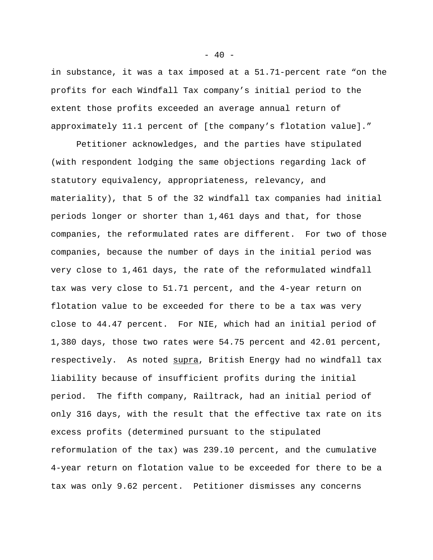in substance, it was a tax imposed at a 51.71-percent rate "on the profits for each Windfall Tax company's initial period to the extent those profits exceeded an average annual return of approximately 11.1 percent of [the company's flotation value]."

Petitioner acknowledges, and the parties have stipulated (with respondent lodging the same objections regarding lack of statutory equivalency, appropriateness, relevancy, and materiality), that 5 of the 32 windfall tax companies had initial periods longer or shorter than 1,461 days and that, for those companies, the reformulated rates are different. For two of those companies, because the number of days in the initial period was very close to 1,461 days, the rate of the reformulated windfall tax was very close to 51.71 percent, and the 4-year return on flotation value to be exceeded for there to be a tax was very close to 44.47 percent. For NIE, which had an initial period of 1,380 days, those two rates were 54.75 percent and 42.01 percent, respectively. As noted supra, British Energy had no windfall tax liability because of insufficient profits during the initial period. The fifth company, Railtrack, had an initial period of only 316 days, with the result that the effective tax rate on its excess profits (determined pursuant to the stipulated reformulation of the tax) was 239.10 percent, and the cumulative 4-year return on flotation value to be exceeded for there to be a tax was only 9.62 percent. Petitioner dismisses any concerns

 $- 40 -$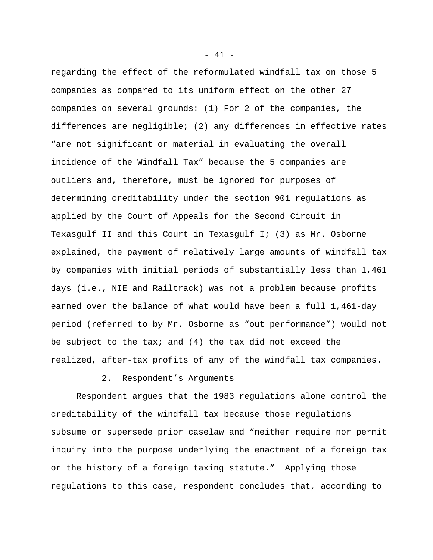regarding the effect of the reformulated windfall tax on those 5 companies as compared to its uniform effect on the other 27 companies on several grounds: (1) For 2 of the companies, the differences are negligible; (2) any differences in effective rates "are not significant or material in evaluating the overall incidence of the Windfall Tax" because the 5 companies are outliers and, therefore, must be ignored for purposes of determining creditability under the section 901 regulations as applied by the Court of Appeals for the Second Circuit in Texasgulf II and this Court in Texasgulf I; (3) as Mr. Osborne explained, the payment of relatively large amounts of windfall tax by companies with initial periods of substantially less than 1,461 days (i.e., NIE and Railtrack) was not a problem because profits earned over the balance of what would have been a full 1,461-day period (referred to by Mr. Osborne as "out performance") would not be subject to the tax; and (4) the tax did not exceed the realized, after-tax profits of any of the windfall tax companies.

### 2. Respondent's Arguments

Respondent argues that the 1983 regulations alone control the creditability of the windfall tax because those regulations subsume or supersede prior caselaw and "neither require nor permit inquiry into the purpose underlying the enactment of a foreign tax or the history of a foreign taxing statute." Applying those regulations to this case, respondent concludes that, according to

 $- 41 -$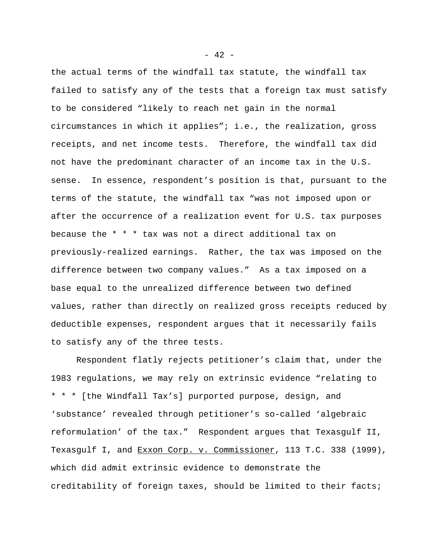the actual terms of the windfall tax statute, the windfall tax failed to satisfy any of the tests that a foreign tax must satisfy to be considered "likely to reach net gain in the normal circumstances in which it applies"; i.e., the realization, gross receipts, and net income tests. Therefore, the windfall tax did not have the predominant character of an income tax in the U.S. sense. In essence, respondent's position is that, pursuant to the terms of the statute, the windfall tax "was not imposed upon or after the occurrence of a realization event for U.S. tax purposes because the \* \* \* tax was not a direct additional tax on previously-realized earnings. Rather, the tax was imposed on the difference between two company values." As a tax imposed on a base equal to the unrealized difference between two defined values, rather than directly on realized gross receipts reduced by deductible expenses, respondent argues that it necessarily fails to satisfy any of the three tests.

Respondent flatly rejects petitioner's claim that, under the 1983 regulations, we may rely on extrinsic evidence "relating to \* \* \* [the Windfall Tax's] purported purpose, design, and 'substance' revealed through petitioner's so-called 'algebraic reformulation' of the tax." Respondent argues that Texasgulf II, Texasgulf I, and Exxon Corp. v. Commissioner, 113 T.C. 338 (1999), which did admit extrinsic evidence to demonstrate the creditability of foreign taxes, should be limited to their facts;

 $- 42 -$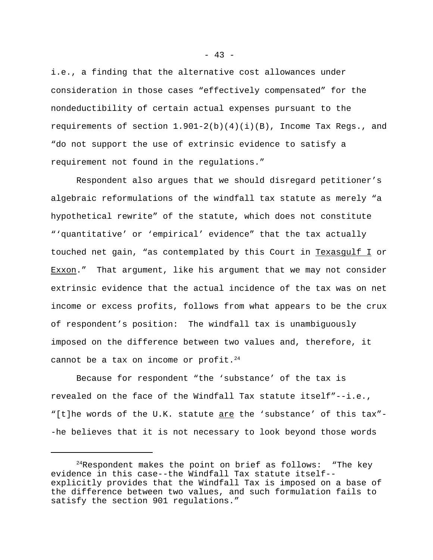i.e., a finding that the alternative cost allowances under consideration in those cases "effectively compensated" for the nondeductibility of certain actual expenses pursuant to the requirements of section  $1.901-2(b)(4)(i)(B)$ , Income Tax Reqs., and "do not support the use of extrinsic evidence to satisfy a requirement not found in the regulations."

Respondent also argues that we should disregard petitioner's algebraic reformulations of the windfall tax statute as merely "a hypothetical rewrite" of the statute, which does not constitute "'quantitative' or 'empirical' evidence" that the tax actually touched net gain, "as contemplated by this Court in Texasgulf I or Exxon." That argument, like his argument that we may not consider extrinsic evidence that the actual incidence of the tax was on net income or excess profits, follows from what appears to be the crux of respondent's position: The windfall tax is unambiguously imposed on the difference between two values and, therefore, it cannot be a tax on income or profit.<sup>24</sup>

Because for respondent "the 'substance' of the tax is revealed on the face of the Windfall Tax statute itself"--i.e., "[t]he words of the U.K. statute are the 'substance' of this tax"--he believes that it is not necessary to look beyond those words

 $24$ Respondent makes the point on brief as follows: "The key evidence in this case--the Windfall Tax statute itself- explicitly provides that the Windfall Tax is imposed on a base of the difference between two values, and such formulation fails to satisfy the section 901 regulations."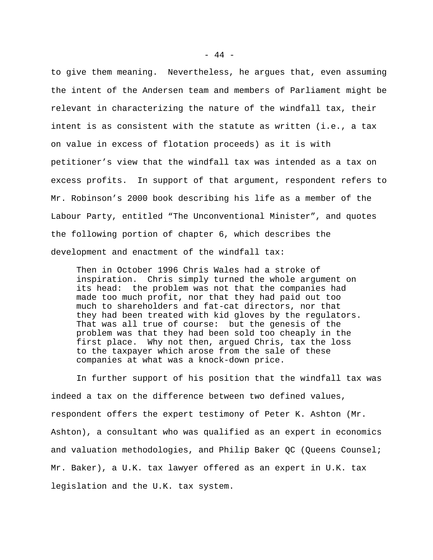to give them meaning. Nevertheless, he argues that, even assuming the intent of the Andersen team and members of Parliament might be relevant in characterizing the nature of the windfall tax, their intent is as consistent with the statute as written (i.e., a tax on value in excess of flotation proceeds) as it is with petitioner's view that the windfall tax was intended as a tax on excess profits. In support of that argument, respondent refers to Mr. Robinson's 2000 book describing his life as a member of the Labour Party, entitled "The Unconventional Minister", and quotes the following portion of chapter 6, which describes the development and enactment of the windfall tax:

Then in October 1996 Chris Wales had a stroke of inspiration. Chris simply turned the whole argument on its head: the problem was not that the companies had made too much profit, nor that they had paid out too much to shareholders and fat-cat directors, nor that they had been treated with kid gloves by the regulators. That was all true of course: but the genesis of the problem was that they had been sold too cheaply in the first place. Why not then, argued Chris, tax the loss to the taxpayer which arose from the sale of these companies at what was a knock-down price.

In further support of his position that the windfall tax was indeed a tax on the difference between two defined values, respondent offers the expert testimony of Peter K. Ashton (Mr. Ashton), a consultant who was qualified as an expert in economics and valuation methodologies, and Philip Baker QC (Queens Counsel; Mr. Baker), a U.K. tax lawyer offered as an expert in U.K. tax legislation and the U.K. tax system.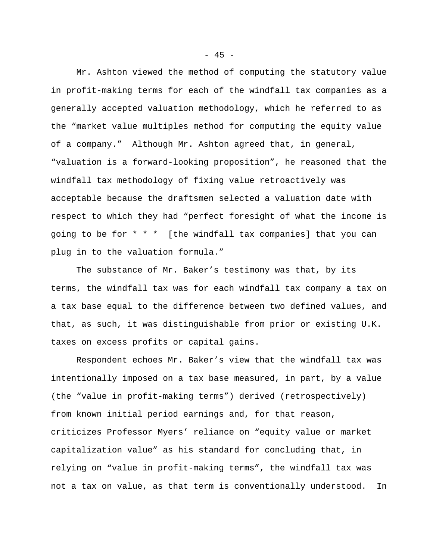Mr. Ashton viewed the method of computing the statutory value in profit-making terms for each of the windfall tax companies as a generally accepted valuation methodology, which he referred to as the "market value multiples method for computing the equity value of a company." Although Mr. Ashton agreed that, in general, "valuation is a forward-looking proposition", he reasoned that the windfall tax methodology of fixing value retroactively was acceptable because the draftsmen selected a valuation date with respect to which they had "perfect foresight of what the income is going to be for \* \* \* [the windfall tax companies] that you can plug in to the valuation formula."

The substance of Mr. Baker's testimony was that, by its terms, the windfall tax was for each windfall tax company a tax on a tax base equal to the difference between two defined values, and that, as such, it was distinguishable from prior or existing U.K. taxes on excess profits or capital gains.

Respondent echoes Mr. Baker's view that the windfall tax was intentionally imposed on a tax base measured, in part, by a value (the "value in profit-making terms") derived (retrospectively) from known initial period earnings and, for that reason, criticizes Professor Myers' reliance on "equity value or market capitalization value" as his standard for concluding that, in relying on "value in profit-making terms", the windfall tax was not a tax on value, as that term is conventionally understood. In

 $- 45 -$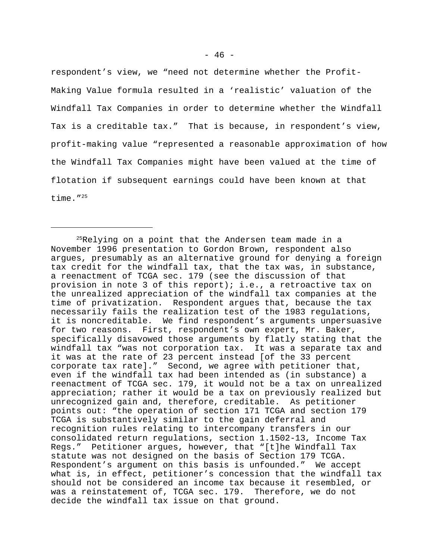respondent's view, we "need not determine whether the Profit-Making Value formula resulted in a 'realistic' valuation of the Windfall Tax Companies in order to determine whether the Windfall Tax is a creditable tax." That is because, in respondent's view, profit-making value "represented a reasonable approximation of how the Windfall Tax Companies might have been valued at the time of flotation if subsequent earnings could have been known at that time."<sup>25</sup>

<sup>&</sup>lt;sup>25</sup>Relying on a point that the Andersen team made in a November 1996 presentation to Gordon Brown, respondent also argues, presumably as an alternative ground for denying a foreign tax credit for the windfall tax, that the tax was, in substance, a reenactment of TCGA sec. 179 (see the discussion of that provision in note 3 of this report); i.e., a retroactive tax on the unrealized appreciation of the windfall tax companies at the time of privatization. Respondent argues that, because the tax necessarily fails the realization test of the 1983 regulations, it is noncreditable. We find respondent's arguments unpersuasive for two reasons. First, respondent's own expert, Mr. Baker, specifically disavowed those arguments by flatly stating that the windfall tax "was not corporation tax. It was a separate tax and it was at the rate of 23 percent instead [of the 33 percent corporate tax rate]." Second, we agree with petitioner that, even if the windfall tax had been intended as (in substance) a reenactment of TCGA sec. 179, it would not be a tax on unrealized appreciation; rather it would be a tax on previously realized but unrecognized gain and, therefore, creditable. As petitioner points out: "the operation of section 171 TCGA and section 179 TCGA is substantively similar to the gain deferral and recognition rules relating to intercompany transfers in our consolidated return regulations, section 1.1502-13, Income Tax Regs." Petitioner argues, however, that "[t]he Windfall Tax statute was not designed on the basis of Section 179 TCGA. Respondent's argument on this basis is unfounded." We accept what is, in effect, petitioner's concession that the windfall tax should not be considered an income tax because it resembled, or was a reinstatement of, TCGA sec. 179. Therefore, we do not decide the windfall tax issue on that ground.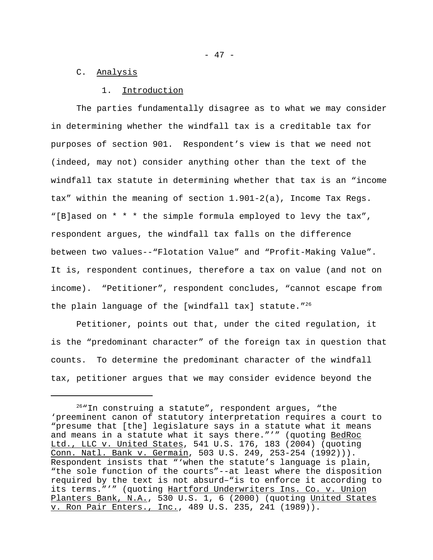### C. Analysis

#### 1. Introduction

The parties fundamentally disagree as to what we may consider in determining whether the windfall tax is a creditable tax for purposes of section 901. Respondent's view is that we need not (indeed, may not) consider anything other than the text of the windfall tax statute in determining whether that tax is an "income tax" within the meaning of section 1.901-2(a), Income Tax Regs. "[B]ased on \* \* \* the simple formula employed to levy the tax", respondent argues, the windfall tax falls on the difference between two values--"Flotation Value" and "Profit-Making Value". It is, respondent continues, therefore a tax on value (and not on income). "Petitioner", respondent concludes, "cannot escape from the plain language of the [windfall tax] statute."<sup>26</sup>

Petitioner, points out that, under the cited regulation, it is the "predominant character" of the foreign tax in question that counts. To determine the predominant character of the windfall tax, petitioner argues that we may consider evidence beyond the

<sup>26</sup>"In construing a statute", respondent argues, "the 'preeminent canon of statutory interpretation requires a court to "presume that [the] legislature says in a statute what it means and means in a statute what it says there."'" (quoting BedRoc Ltd., LLC v. United States, 541 U.S. 176, 183 (2004) (quoting Conn. Natl. Bank v. Germain, 503 U.S. 249, 253-254 (1992))). Respondent insists that "'when the statute's language is plain, "the sole function of the courts"--at least where the disposition required by the text is not absurd–"is to enforce it according to its terms."'" (quoting Hartford Underwriters Ins. Co. v. Union Planters Bank, N.A., 530 U.S. 1, 6 (2000) (quoting United States v. Ron Pair Enters., Inc., 489 U.S. 235, 241 (1989)).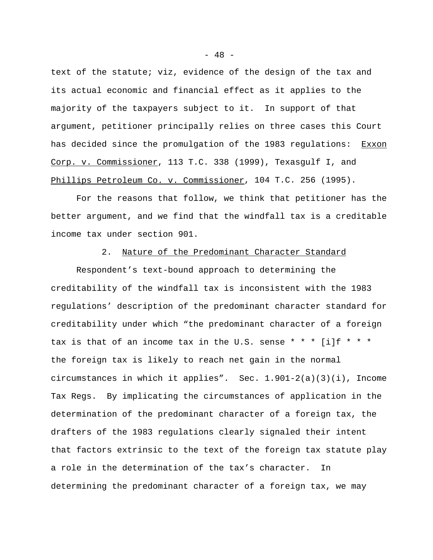text of the statute; viz, evidence of the design of the tax and its actual economic and financial effect as it applies to the majority of the taxpayers subject to it. In support of that argument, petitioner principally relies on three cases this Court has decided since the promulgation of the 1983 regulations: Exxon Corp. v. Commissioner, 113 T.C. 338 (1999), Texasgulf I, and Phillips Petroleum Co. v. Commissioner, 104 T.C. 256 (1995).

For the reasons that follow, we think that petitioner has the better argument, and we find that the windfall tax is a creditable income tax under section 901.

# 2. Nature of the Predominant Character Standard

Respondent's text-bound approach to determining the creditability of the windfall tax is inconsistent with the 1983 regulations' description of the predominant character standard for creditability under which "the predominant character of a foreign tax is that of an income tax in the U.S. sense \* \* \* [i]f \* \* \* the foreign tax is likely to reach net gain in the normal circumstances in which it applies". Sec. 1.901-2(a)(3)(i), Income Tax Regs. By implicating the circumstances of application in the determination of the predominant character of a foreign tax, the drafters of the 1983 regulations clearly signaled their intent that factors extrinsic to the text of the foreign tax statute play a role in the determination of the tax's character. In determining the predominant character of a foreign tax, we may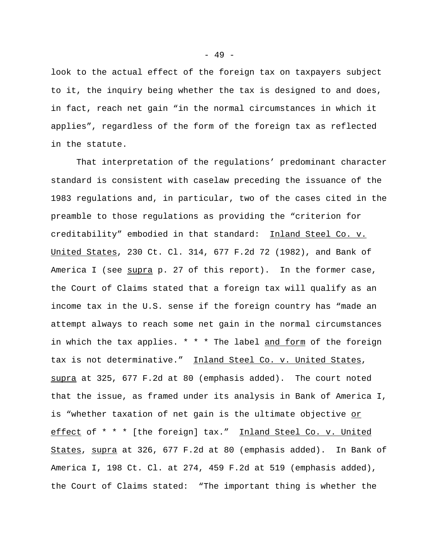look to the actual effect of the foreign tax on taxpayers subject to it, the inquiry being whether the tax is designed to and does, in fact, reach net gain "in the normal circumstances in which it applies", regardless of the form of the foreign tax as reflected in the statute.

That interpretation of the regulations' predominant character standard is consistent with caselaw preceding the issuance of the 1983 regulations and, in particular, two of the cases cited in the preamble to those regulations as providing the "criterion for creditability" embodied in that standard: Inland Steel Co. v. United States, 230 Ct. Cl. 314, 677 F.2d 72 (1982), and Bank of America I (see supra p. 27 of this report). In the former case, the Court of Claims stated that a foreign tax will qualify as an income tax in the U.S. sense if the foreign country has "made an attempt always to reach some net gain in the normal circumstances in which the tax applies. \* \* \* The label and form of the foreign tax is not determinative." Inland Steel Co. v. United States, supra at 325, 677 F.2d at 80 (emphasis added). The court noted that the issue, as framed under its analysis in Bank of America I, is "whether taxation of net gain is the ultimate objective or effect of \* \* \* [the foreign] tax." Inland Steel Co. v. United States, supra at 326, 677 F.2d at 80 (emphasis added). In Bank of America I, 198 Ct. Cl. at 274, 459 F.2d at 519 (emphasis added), the Court of Claims stated: "The important thing is whether the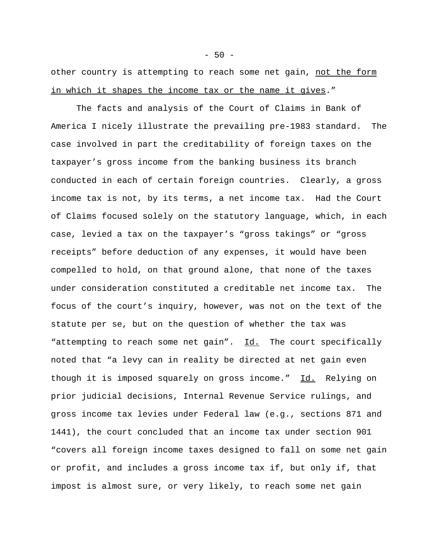other country is attempting to reach some net gain, not the form in which it shapes the income tax or the name it gives."

The facts and analysis of the Court of Claims in Bank of America I nicely illustrate the prevailing pre-1983 standard. The case involved in part the creditability of foreign taxes on the taxpayer's gross income from the banking business its branch conducted in each of certain foreign countries. Clearly, a gross income tax is not, by its terms, a net income tax. Had the Court of Claims focused solely on the statutory language, which, in each case, levied a tax on the taxpayer's "gross takings" or "gross receipts" before deduction of any expenses, it would have been compelled to hold, on that ground alone, that none of the taxes under consideration constituted a creditable net income tax. The focus of the court's inquiry, however, was not on the text of the statute per se, but on the question of whether the tax was "attempting to reach some net gain". Id. The court specifically noted that "a levy can in reality be directed at net gain even though it is imposed squarely on gross income." Id. Relying on prior judicial decisions, Internal Revenue Service rulings, and gross income tax levies under Federal law (e.g., sections 871 and 1441), the court concluded that an income tax under section 901 "covers all foreign income taxes designed to fall on some net gain or profit, and includes a gross income tax if, but only if, that impost is almost sure, or very likely, to reach some net gain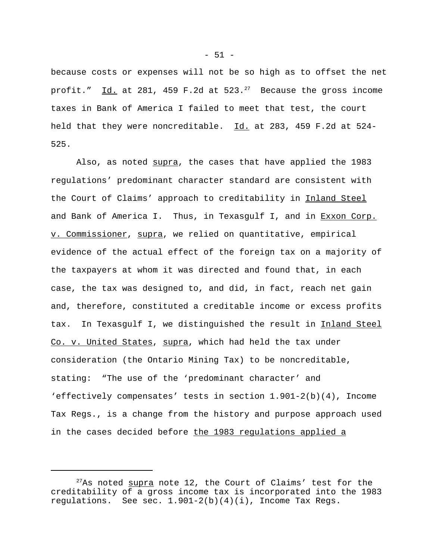because costs or expenses will not be so high as to offset the net profit." Id. at 281, 459 F.2d at  $523.^{27}$  Because the gross income taxes in Bank of America I failed to meet that test, the court held that they were noncreditable. Id. at 283, 459 F.2d at 524- 525.

Also, as noted supra, the cases that have applied the 1983 regulations' predominant character standard are consistent with the Court of Claims' approach to creditability in Inland Steel and Bank of America I. Thus, in Texasgulf I, and in Exxon Corp. v. Commissioner, supra, we relied on quantitative, empirical evidence of the actual effect of the foreign tax on a majority of the taxpayers at whom it was directed and found that, in each case, the tax was designed to, and did, in fact, reach net gain and, therefore, constituted a creditable income or excess profits tax. In Texasgulf I, we distinguished the result in Inland Steel Co. v. United States, supra, which had held the tax under consideration (the Ontario Mining Tax) to be noncreditable, stating: "The use of the 'predominant character' and 'effectively compensates' tests in section 1.901-2(b)(4), Income Tax Regs., is a change from the history and purpose approach used in the cases decided before the 1983 regulations applied a

 $- 51 -$ 

 $27$ As noted supra note 12, the Court of Claims' test for the creditability of a gross income tax is incorporated into the 1983 regulations. See sec.  $1.901-2(b)(4)(i)$ , Income Tax Regs.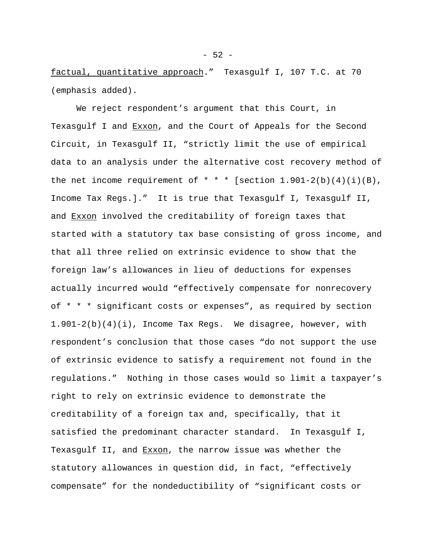factual, quantitative approach." Texasgulf I, 107 T.C. at 70 (emphasis added).

We reject respondent's argument that this Court, in Texasgulf I and Exxon, and the Court of Appeals for the Second Circuit, in Texasgulf II, "strictly limit the use of empirical data to an analysis under the alternative cost recovery method of the net income requirement of  $* * *$  [section 1.901-2(b)(4)(i)(B), Income Tax Regs.]." It is true that Texasgulf I, Texasgulf II, and Exxon involved the creditability of foreign taxes that started with a statutory tax base consisting of gross income, and that all three relied on extrinsic evidence to show that the foreign law's allowances in lieu of deductions for expenses actually incurred would "effectively compensate for nonrecovery of \* \* \* significant costs or expenses", as required by section 1.901-2(b)(4)(i), Income Tax Regs. We disagree, however, with respondent's conclusion that those cases "do not support the use of extrinsic evidence to satisfy a requirement not found in the regulations." Nothing in those cases would so limit a taxpayer's right to rely on extrinsic evidence to demonstrate the creditability of a foreign tax and, specifically, that it satisfied the predominant character standard. In Texasgulf I, Texasgulf II, and Exxon, the narrow issue was whether the statutory allowances in question did, in fact, "effectively compensate" for the nondeductibility of "significant costs or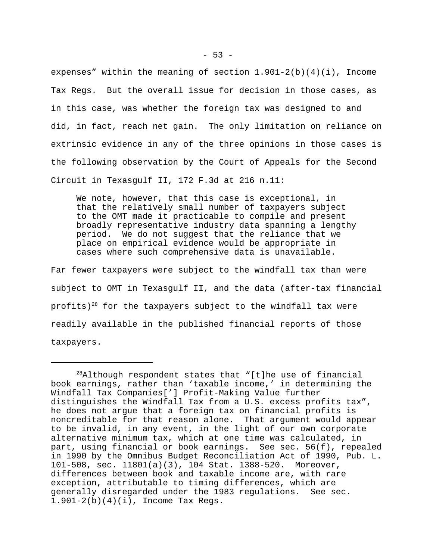expenses" within the meaning of section  $1.901-2(b)(4)(i)$ , Income Tax Regs. But the overall issue for decision in those cases, as in this case, was whether the foreign tax was designed to and did, in fact, reach net gain. The only limitation on reliance on extrinsic evidence in any of the three opinions in those cases is the following observation by the Court of Appeals for the Second Circuit in Texasgulf II, 172 F.3d at 216 n.11:

We note, however, that this case is exceptional, in that the relatively small number of taxpayers subject to the OMT made it practicable to compile and present broadly representative industry data spanning a lengthy period. We do not suggest that the reliance that we place on empirical evidence would be appropriate in cases where such comprehensive data is unavailable.

Far fewer taxpayers were subject to the windfall tax than were subject to OMT in Texasgulf II, and the data (after-tax financial profits)<sup>28</sup> for the taxpayers subject to the windfall tax were readily available in the published financial reports of those taxpayers.

 $28A1$ though respondent states that "[t]he use of financial book earnings, rather than 'taxable income,' in determining the Windfall Tax Companies['] Profit-Making Value further distinguishes the Windfall Tax from a U.S. excess profits tax", he does not argue that a foreign tax on financial profits is noncreditable for that reason alone. That argument would appear to be invalid, in any event, in the light of our own corporate alternative minimum tax, which at one time was calculated, in part, using financial or book earnings. See sec. 56(f), repealed in 1990 by the Omnibus Budget Reconciliation Act of 1990, Pub. L. 101-508, sec. 11801(a)(3), 104 Stat. 1388-520. Moreover, differences between book and taxable income are, with rare exception, attributable to timing differences, which are generally disregarded under the 1983 regulations. See sec. 1.901-2(b)(4)(i), Income Tax Regs.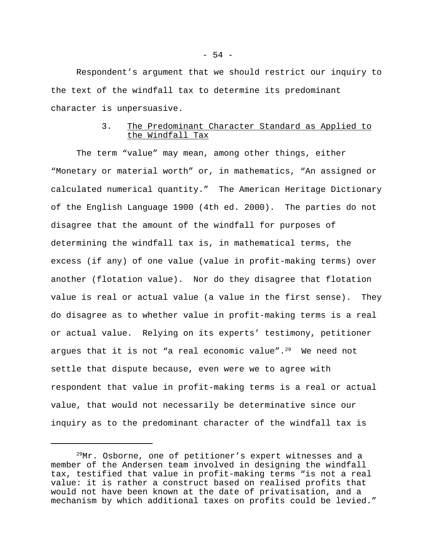Respondent's argument that we should restrict our inquiry to the text of the windfall tax to determine its predominant character is unpersuasive.

# 3. The Predominant Character Standard as Applied to the Windfall Tax

The term "value" may mean, among other things, either "Monetary or material worth" or, in mathematics, "An assigned or calculated numerical quantity." The American Heritage Dictionary of the English Language 1900 (4th ed. 2000). The parties do not disagree that the amount of the windfall for purposes of determining the windfall tax is, in mathematical terms, the excess (if any) of one value (value in profit-making terms) over another (flotation value). Nor do they disagree that flotation value is real or actual value (a value in the first sense). They do disagree as to whether value in profit-making terms is a real or actual value. Relying on its experts' testimony, petitioner argues that it is not "a real economic value". $29$  We need not settle that dispute because, even were we to agree with respondent that value in profit-making terms is a real or actual value, that would not necessarily be determinative since our inquiry as to the predominant character of the windfall tax is

<sup>&</sup>lt;sup>29</sup>Mr. Osborne, one of petitioner's expert witnesses and a member of the Andersen team involved in designing the windfall tax, testified that value in profit-making terms "is not a real value: it is rather a construct based on realised profits that would not have been known at the date of privatisation, and a mechanism by which additional taxes on profits could be levied."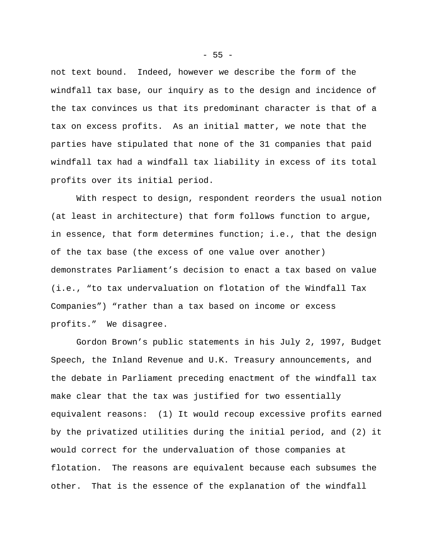not text bound. Indeed, however we describe the form of the windfall tax base, our inquiry as to the design and incidence of the tax convinces us that its predominant character is that of a tax on excess profits. As an initial matter, we note that the parties have stipulated that none of the 31 companies that paid windfall tax had a windfall tax liability in excess of its total profits over its initial period.

With respect to design, respondent reorders the usual notion (at least in architecture) that form follows function to argue, in essence, that form determines function; i.e., that the design of the tax base (the excess of one value over another) demonstrates Parliament's decision to enact a tax based on value (i.e., "to tax undervaluation on flotation of the Windfall Tax Companies") "rather than a tax based on income or excess profits." We disagree.

Gordon Brown's public statements in his July 2, 1997, Budget Speech, the Inland Revenue and U.K. Treasury announcements, and the debate in Parliament preceding enactment of the windfall tax make clear that the tax was justified for two essentially equivalent reasons: (1) It would recoup excessive profits earned by the privatized utilities during the initial period, and (2) it would correct for the undervaluation of those companies at flotation. The reasons are equivalent because each subsumes the other. That is the essence of the explanation of the windfall

 $- 55 -$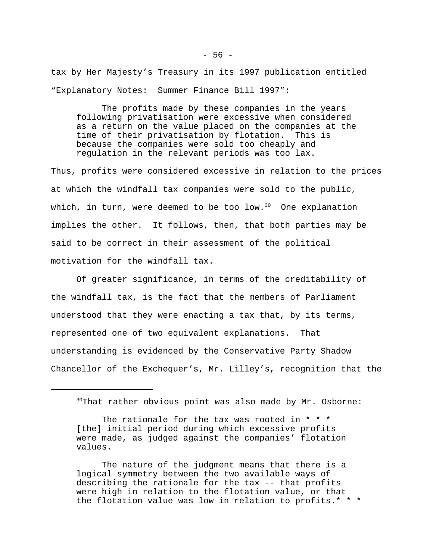tax by Her Majesty's Treasury in its 1997 publication entitled "Explanatory Notes: Summer Finance Bill 1997":

The profits made by these companies in the years following privatisation were excessive when considered as a return on the value placed on the companies at the time of their privatisation by flotation. This is because the companies were sold too cheaply and regulation in the relevant periods was too lax.

Thus, profits were considered excessive in relation to the prices at which the windfall tax companies were sold to the public, which, in turn, were deemed to be too low. $30$  One explanation implies the other. It follows, then, that both parties may be said to be correct in their assessment of the political motivation for the windfall tax.

Of greater significance, in terms of the creditability of the windfall tax, is the fact that the members of Parliament understood that they were enacting a tax that, by its terms, represented one of two equivalent explanations. That understanding is evidenced by the Conservative Party Shadow Chancellor of the Exchequer's, Mr. Lilley's, recognition that the

The nature of the judgment means that there is a logical symmetry between the two available ways of describing the rationale for the tax -- that profits were high in relation to the flotation value, or that the flotation value was low in relation to profits.\* \* \*

<sup>30</sup>That rather obvious point was also made by Mr. Osborne:

The rationale for the tax was rooted in \* \* \* [the] initial period during which excessive profits were made, as judged against the companies' flotation values.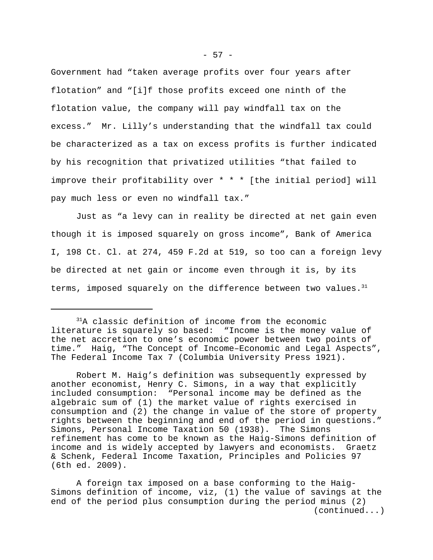Government had "taken average profits over four years after flotation" and "[i]f those profits exceed one ninth of the flotation value, the company will pay windfall tax on the excess." Mr. Lilly's understanding that the windfall tax could be characterized as a tax on excess profits is further indicated by his recognition that privatized utilities "that failed to improve their profitability over \* \* \* [the initial period] will pay much less or even no windfall tax."

Just as "a levy can in reality be directed at net gain even though it is imposed squarely on gross income", Bank of America I, 198 Ct. Cl. at 274, 459 F.2d at 519, so too can a foreign levy be directed at net gain or income even through it is, by its terms, imposed squarely on the difference between two values. $31$ 

<sup>&</sup>lt;sup>31</sup>A classic definition of income from the economic literature is squarely so based: "Income is the money value of the net accretion to one's economic power between two points of time." Haig, "The Concept of Income–Economic and Legal Aspects", The Federal Income Tax 7 (Columbia University Press 1921).

Robert M. Haig's definition was subsequently expressed by another economist, Henry C. Simons, in a way that explicitly included consumption: "Personal income may be defined as the algebraic sum of (1) the market value of rights exercised in consumption and (2) the change in value of the store of property rights between the beginning and end of the period in questions." Simons, Personal Income Taxation 50 (1938). The Simons refinement has come to be known as the Haig-Simons definition of income and is widely accepted by lawyers and economists. Graetz & Schenk, Federal Income Taxation, Principles and Policies 97 (6th ed. 2009).

A foreign tax imposed on a base conforming to the Haig-Simons definition of income, viz, (1) the value of savings at the end of the period plus consumption during the period minus (2) (continued...)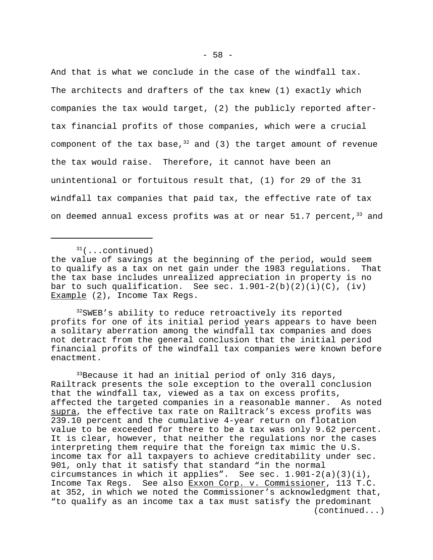And that is what we conclude in the case of the windfall tax. The architects and drafters of the tax knew (1) exactly which companies the tax would target, (2) the publicly reported aftertax financial profits of those companies, which were a crucial component of the tax base,  $3^2$  and (3) the target amount of revenue the tax would raise. Therefore, it cannot have been an unintentional or fortuitous result that, (1) for 29 of the 31 windfall tax companies that paid tax, the effective rate of tax on deemed annual excess profits was at or near  $51.7$  percent,  $33$  and

 $31$ (...continued)

<sup>32</sup>SWEB's ability to reduce retroactively its reported profits for one of its initial period years appears to have been a solitary aberration among the windfall tax companies and does not detract from the general conclusion that the initial period financial profits of the windfall tax companies were known before enactment.

<sup>33</sup>Because it had an initial period of only 316 days, Railtrack presents the sole exception to the overall conclusion that the windfall tax, viewed as a tax on excess profits, affected the targeted companies in a reasonable manner. As noted supra, the effective tax rate on Railtrack's excess profits was 239.10 percent and the cumulative 4-year return on flotation value to be exceeded for there to be a tax was only 9.62 percent. It is clear, however, that neither the regulations nor the cases interpreting them require that the foreign tax mimic the U.S. income tax for all taxpayers to achieve creditability under sec. 901, only that it satisfy that standard "in the normal circumstances in which it applies". See sec. 1.901-2(a)(3)(i), Income Tax Regs. See also Exxon Corp. v. Commissioner, 113 T.C. at 352, in which we noted the Commissioner's acknowledgment that, "to qualify as an income tax a tax must satisfy the predominant (continued...)

the value of savings at the beginning of the period, would seem to qualify as a tax on net gain under the 1983 regulations. That the tax base includes unrealized appreciation in property is no bar to such qualification. See sec.  $1.901-2(b)(2)(i)(C)$ , (iv) Example (2), Income Tax Regs.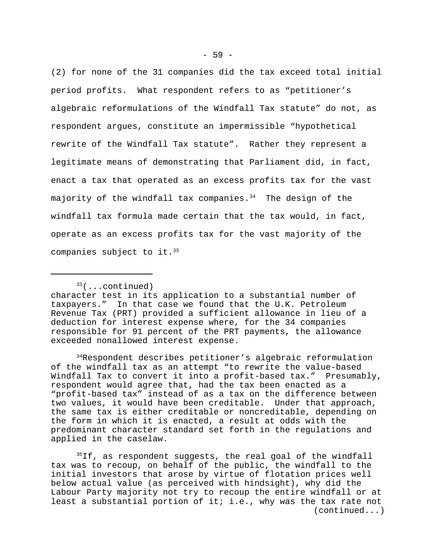(2) for none of the 31 companies did the tax exceed total initial period profits. What respondent refers to as "petitioner's algebraic reformulations of the Windfall Tax statute" do not, as respondent argues, constitute an impermissible "hypothetical rewrite of the Windfall Tax statute". Rather they represent a legitimate means of demonstrating that Parliament did, in fact, enact a tax that operated as an excess profits tax for the vast majority of the windfall tax companies. $34$  The design of the windfall tax formula made certain that the tax would, in fact, operate as an excess profits tax for the vast majority of the companies subject to it.<sup>35</sup>

 $33$ (...continued)

<sup>34</sup>Respondent describes petitioner's algebraic reformulation of the windfall tax as an attempt "to rewrite the value-based Windfall Tax to convert it into a profit-based tax." Presumably, respondent would agree that, had the tax been enacted as a "profit-based tax" instead of as a tax on the difference between two values, it would have been creditable. Under that approach, the same tax is either creditable or noncreditable, depending on the form in which it is enacted, a result at odds with the predominant character standard set forth in the regulations and applied in the caselaw.

<sup>35</sup>If, as respondent suggests, the real goal of the windfall tax was to recoup, on behalf of the public, the windfall to the initial investors that arose by virtue of flotation prices well below actual value (as perceived with hindsight), why did the Labour Party majority not try to recoup the entire windfall or at least a substantial portion of it; i.e., why was the tax rate not (continued...)

character test in its application to a substantial number of taxpayers." In that case we found that the U.K. Petroleum Revenue Tax (PRT) provided a sufficient allowance in lieu of a deduction for interest expense where, for the 34 companies responsible for 91 percent of the PRT payments, the allowance exceeded nonallowed interest expense.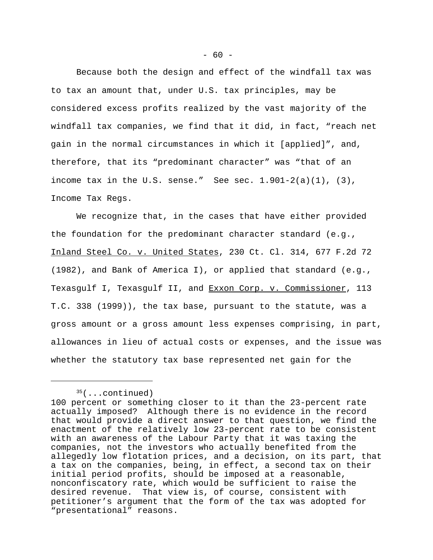Because both the design and effect of the windfall tax was to tax an amount that, under U.S. tax principles, may be considered excess profits realized by the vast majority of the windfall tax companies, we find that it did, in fact, "reach net gain in the normal circumstances in which it [applied]", and, therefore, that its "predominant character" was "that of an income tax in the U.S. sense." See sec.  $1.901-2(a)(1)$ ,  $(3)$ , Income Tax Regs.

We recognize that, in the cases that have either provided the foundation for the predominant character standard (e.g., Inland Steel Co. v. United States, 230 Ct. Cl. 314, 677 F.2d 72 (1982), and Bank of America I), or applied that standard (e.g., Texasgulf I, Texasgulf II, and Exxon Corp. v. Commissioner, 113 T.C. 338 (1999)), the tax base, pursuant to the statute, was a gross amount or a gross amount less expenses comprising, in part, allowances in lieu of actual costs or expenses, and the issue was whether the statutory tax base represented net gain for the

 $35$ (...continued)

<sup>100</sup> percent or something closer to it than the 23-percent rate actually imposed? Although there is no evidence in the record that would provide a direct answer to that question, we find the enactment of the relatively low 23-percent rate to be consistent with an awareness of the Labour Party that it was taxing the companies, not the investors who actually benefited from the allegedly low flotation prices, and a decision, on its part, that a tax on the companies, being, in effect, a second tax on their initial period profits, should be imposed at a reasonable, nonconfiscatory rate, which would be sufficient to raise the desired revenue. That view is, of course, consistent with petitioner's argument that the form of the tax was adopted for "presentational" reasons.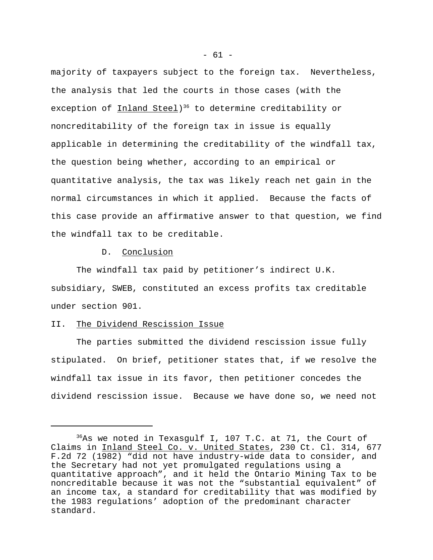majority of taxpayers subject to the foreign tax. Nevertheless, the analysis that led the courts in those cases (with the exception of <u>Inland Steel</u>)<sup>36</sup> to determine creditability or noncreditability of the foreign tax in issue is equally applicable in determining the creditability of the windfall tax, the question being whether, according to an empirical or quantitative analysis, the tax was likely reach net gain in the normal circumstances in which it applied. Because the facts of this case provide an affirmative answer to that question, we find the windfall tax to be creditable.

## D. Conclusion

The windfall tax paid by petitioner's indirect U.K. subsidiary, SWEB, constituted an excess profits tax creditable under section 901.

### II. The Dividend Rescission Issue

The parties submitted the dividend rescission issue fully stipulated. On brief, petitioner states that, if we resolve the windfall tax issue in its favor, then petitioner concedes the dividend rescission issue. Because we have done so, we need not

 $36$ As we noted in Texasgulf I, 107 T.C. at 71, the Court of Claims in Inland Steel Co. v. United States, 230 Ct. Cl. 314, 677 F.2d 72 (1982) "did not have industry-wide data to consider, and the Secretary had not yet promulgated regulations using a quantitative approach", and it held the Ontario Mining Tax to be noncreditable because it was not the "substantial equivalent" of an income tax, a standard for creditability that was modified by the 1983 regulations' adoption of the predominant character standard.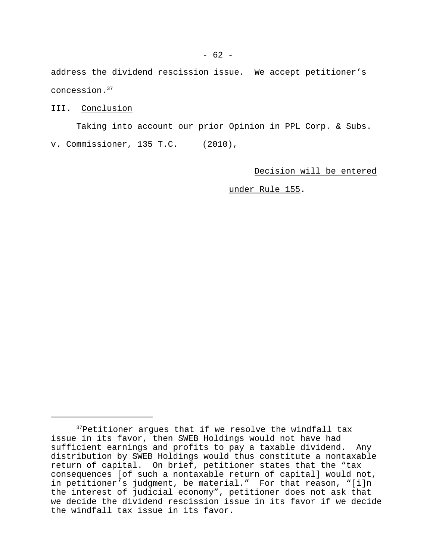address the dividend rescission issue. We accept petitioner's concession.<sup>37</sup>

# III. Conclusion

Taking into account our prior Opinion in PPL Corp. & Subs. v. Commissioner, 135 T.C. (2010),

Decision will be entered

under Rule 155.

<sup>37</sup>Petitioner argues that if we resolve the windfall tax issue in its favor, then SWEB Holdings would not have had sufficient earnings and profits to pay a taxable dividend. Any distribution by SWEB Holdings would thus constitute a nontaxable return of capital. On brief, petitioner states that the "tax consequences [of such a nontaxable return of capital] would not, in petitioner's judgment, be material." For that reason, "[i]n the interest of judicial economy", petitioner does not ask that we decide the dividend rescission issue in its favor if we decide the windfall tax issue in its favor.